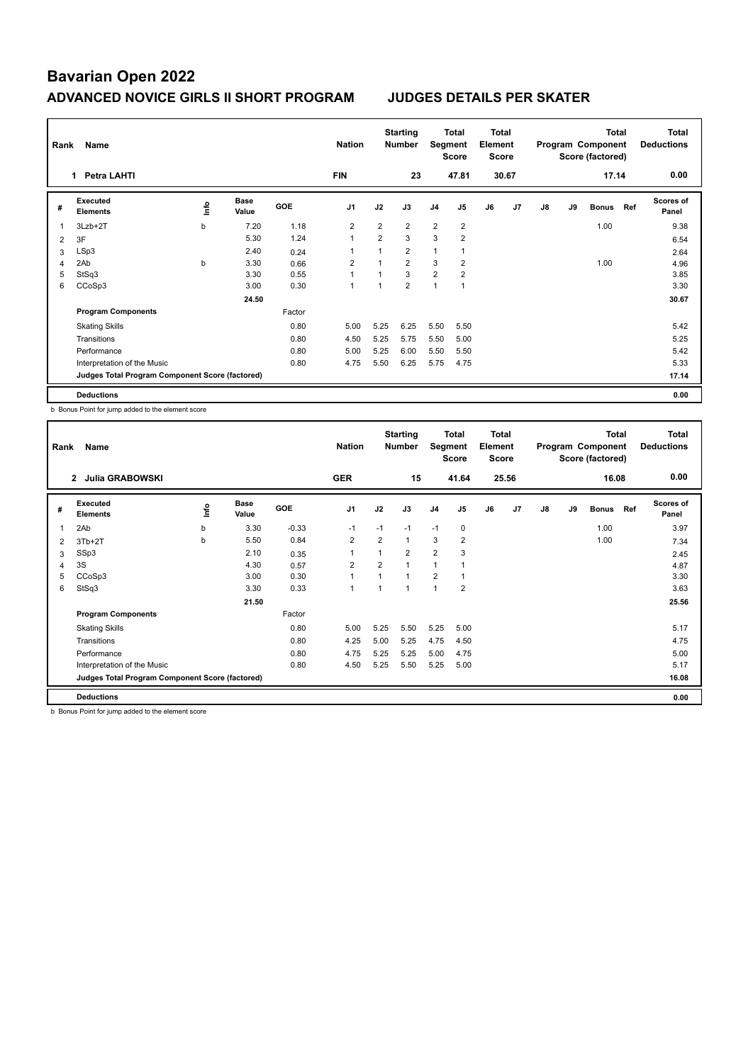| Rank | Name                                            |      |                      |            | <b>Nation</b>  |                | <b>Starting</b><br><b>Number</b> | Segment        | Total<br><b>Score</b> | <b>Total</b><br>Element<br><b>Score</b> |                |    |    | <b>Total</b><br>Program Component<br>Score (factored) |     | <b>Total</b><br><b>Deductions</b> |
|------|-------------------------------------------------|------|----------------------|------------|----------------|----------------|----------------------------------|----------------|-----------------------|-----------------------------------------|----------------|----|----|-------------------------------------------------------|-----|-----------------------------------|
|      | <b>Petra LAHTI</b><br>1                         |      |                      |            | <b>FIN</b>     |                | 23                               |                | 47.81                 |                                         | 30.67          |    |    | 17.14                                                 |     | 0.00                              |
| #    | Executed<br><b>Elements</b>                     | ١nto | <b>Base</b><br>Value | <b>GOE</b> | J <sub>1</sub> | J2             | J3                               | J <sub>4</sub> | J <sub>5</sub>        | J6                                      | J <sub>7</sub> | J8 | J9 | <b>Bonus</b>                                          | Ref | <b>Scores of</b><br>Panel         |
| 1    | 3Lzb+2T                                         | b    | 7.20                 | 1.18       | $\overline{2}$ | $\overline{2}$ | $\overline{2}$                   | $\overline{2}$ | $\overline{2}$        |                                         |                |    |    | 1.00                                                  |     | 9.38                              |
| 2    | 3F                                              |      | 5.30                 | 1.24       | $\overline{1}$ | $\overline{2}$ | 3                                | 3              | $\overline{2}$        |                                         |                |    |    |                                                       |     | 6.54                              |
| 3    | LSp3                                            |      | 2.40                 | 0.24       | 1              |                | $\overline{2}$                   | $\mathbf{1}$   | 1                     |                                         |                |    |    |                                                       |     | 2.64                              |
| 4    | 2Ab                                             | b    | 3.30                 | 0.66       | 2              |                | $\overline{2}$                   | 3              | $\overline{2}$        |                                         |                |    |    | 1.00                                                  |     | 4.96                              |
| 5    | StSq3                                           |      | 3.30                 | 0.55       | $\overline{1}$ |                | 3                                | $\overline{2}$ | $\overline{2}$        |                                         |                |    |    |                                                       |     | 3.85                              |
| 6    | CCoSp3                                          |      | 3.00                 | 0.30       | 1              |                | $\overline{2}$                   | $\overline{1}$ | 1                     |                                         |                |    |    |                                                       |     | 3.30                              |
|      |                                                 |      | 24.50                |            |                |                |                                  |                |                       |                                         |                |    |    |                                                       |     | 30.67                             |
|      | <b>Program Components</b>                       |      |                      | Factor     |                |                |                                  |                |                       |                                         |                |    |    |                                                       |     |                                   |
|      | <b>Skating Skills</b>                           |      |                      | 0.80       | 5.00           | 5.25           | 6.25                             | 5.50           | 5.50                  |                                         |                |    |    |                                                       |     | 5.42                              |
|      | Transitions                                     |      |                      | 0.80       | 4.50           | 5.25           | 5.75                             | 5.50           | 5.00                  |                                         |                |    |    |                                                       |     | 5.25                              |
|      | Performance                                     |      |                      | 0.80       | 5.00           | 5.25           | 6.00                             | 5.50           | 5.50                  |                                         |                |    |    |                                                       |     | 5.42                              |
|      | Interpretation of the Music                     |      |                      | 0.80       | 4.75           | 5.50           | 6.25                             | 5.75           | 4.75                  |                                         |                |    |    |                                                       |     | 5.33                              |
|      | Judges Total Program Component Score (factored) |      |                      |            |                |                |                                  |                |                       |                                         |                |    |    |                                                       |     | 17.14                             |
|      | <b>Deductions</b>                               |      |                      |            |                |                |                                  |                |                       |                                         |                |    |    |                                                       |     | 0.00                              |

b Bonus Point for jump added to the element score

| Rank           | Name                                            |    |                      |            |                |                | <b>Starting</b><br><b>Number</b> | Segment        | Total<br><b>Score</b> | Total<br>Element<br>Score |                |    |    | <b>Total</b><br>Program Component<br>Score (factored) |     | Total<br><b>Deductions</b> |
|----------------|-------------------------------------------------|----|----------------------|------------|----------------|----------------|----------------------------------|----------------|-----------------------|---------------------------|----------------|----|----|-------------------------------------------------------|-----|----------------------------|
|                | <b>Julia GRABOWSKI</b><br>$\overline{2}$        |    |                      |            | <b>GER</b>     |                | 15                               |                | 41.64                 |                           | 25.56          |    |    | 16.08                                                 |     | 0.00                       |
| #              | Executed<br><b>Elements</b>                     | ١m | <b>Base</b><br>Value | <b>GOE</b> | J <sub>1</sub> | J2             | J3                               | J <sub>4</sub> | J <sub>5</sub>        | J6                        | J <sub>7</sub> | J8 | J9 | <b>Bonus</b>                                          | Ref | <b>Scores of</b><br>Panel  |
| $\overline{1}$ | 2Ab                                             | b  | 3.30                 | $-0.33$    | $-1$           | $-1$           | $-1$                             | $-1$           | $\mathbf 0$           |                           |                |    |    | 1.00                                                  |     | 3.97                       |
| 2              | $3Tb+2T$                                        | b  | 5.50                 | 0.84       | $\overline{2}$ | $\overline{2}$ | 1                                | 3              | $\overline{2}$        |                           |                |    |    | 1.00                                                  |     | 7.34                       |
| 3              | SSp3                                            |    | 2.10                 | 0.35       |                | 1              | $\overline{2}$                   | $\overline{2}$ | 3                     |                           |                |    |    |                                                       |     | 2.45                       |
| 4              | 3S                                              |    | 4.30                 | 0.57       | $\overline{2}$ | $\overline{2}$ | 1                                | $\overline{1}$ |                       |                           |                |    |    |                                                       |     | 4.87                       |
| 5              | CCoSp3                                          |    | 3.00                 | 0.30       | $\overline{1}$ | 1              | 1                                | $\overline{2}$ | 1                     |                           |                |    |    |                                                       |     | 3.30                       |
| 6              | StSq3                                           |    | 3.30                 | 0.33       | $\mathbf{1}$   | 1              | 1                                | $\overline{1}$ | $\overline{2}$        |                           |                |    |    |                                                       |     | 3.63                       |
|                |                                                 |    | 21.50                |            |                |                |                                  |                |                       |                           |                |    |    |                                                       |     | 25.56                      |
|                | <b>Program Components</b>                       |    |                      | Factor     |                |                |                                  |                |                       |                           |                |    |    |                                                       |     |                            |
|                | <b>Skating Skills</b>                           |    |                      | 0.80       | 5.00           | 5.25           | 5.50                             | 5.25           | 5.00                  |                           |                |    |    |                                                       |     | 5.17                       |
|                | Transitions                                     |    |                      | 0.80       | 4.25           | 5.00           | 5.25                             | 4.75           | 4.50                  |                           |                |    |    |                                                       |     | 4.75                       |
|                | Performance                                     |    |                      | 0.80       | 4.75           | 5.25           | 5.25                             | 5.00           | 4.75                  |                           |                |    |    |                                                       |     | 5.00                       |
|                | Interpretation of the Music                     |    |                      | 0.80       | 4.50           | 5.25           | 5.50                             | 5.25           | 5.00                  |                           |                |    |    |                                                       |     | 5.17                       |
|                | Judges Total Program Component Score (factored) |    |                      |            |                |                |                                  |                |                       |                           |                |    |    |                                                       |     | 16.08                      |
|                | <b>Deductions</b>                               |    |                      |            |                |                |                                  |                |                       |                           |                |    |    |                                                       |     | 0.00                       |

b Bonus Point for jump added to the element score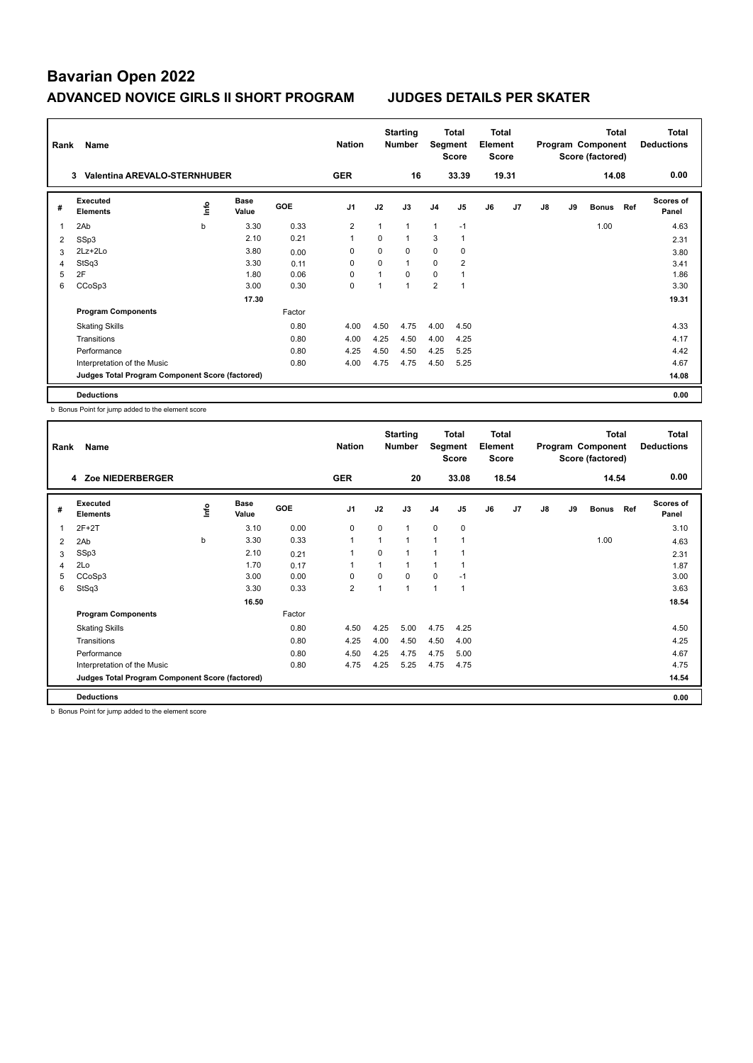| Rank                    | Name                                            |    |                      |        | <b>Nation</b>  |          | <b>Starting</b><br><b>Number</b> | Segment        | Total<br><b>Score</b> | Total<br>Element<br>Score |       |    |    | <b>Total</b><br>Program Component<br>Score (factored) |     | <b>Total</b><br><b>Deductions</b> |
|-------------------------|-------------------------------------------------|----|----------------------|--------|----------------|----------|----------------------------------|----------------|-----------------------|---------------------------|-------|----|----|-------------------------------------------------------|-----|-----------------------------------|
|                         | <b>Valentina AREVALO-STERNHUBER</b><br>3        |    |                      |        | <b>GER</b>     |          | 16                               |                | 33.39                 |                           | 19.31 |    |    | 14.08                                                 |     | 0.00                              |
| #                       | Executed<br><b>Elements</b>                     | ۴ů | <b>Base</b><br>Value | GOE    | J <sub>1</sub> | J2       | J3                               | J <sub>4</sub> | J <sub>5</sub>        | J6                        | J7    | J8 | J9 | <b>Bonus</b>                                          | Ref | <b>Scores of</b><br>Panel         |
| $\overline{\mathbf{1}}$ | 2Ab                                             | b  | 3.30                 | 0.33   | $\overline{2}$ | 1        | 1                                | $\mathbf{1}$   | $-1$                  |                           |       |    |    | 1.00                                                  |     | 4.63                              |
| 2                       | SSp3                                            |    | 2.10                 | 0.21   | $\overline{1}$ | 0        | 1                                | 3              | 1                     |                           |       |    |    |                                                       |     | 2.31                              |
| 3                       | 2Lz+2Lo                                         |    | 3.80                 | 0.00   | 0              | $\Omega$ | $\Omega$                         | $\mathbf 0$    | 0                     |                           |       |    |    |                                                       |     | 3.80                              |
| 4                       | StSq3                                           |    | 3.30                 | 0.11   | 0              | $\Omega$ | 1                                | 0              | $\overline{2}$        |                           |       |    |    |                                                       |     | 3.41                              |
| 5                       | 2F                                              |    | 1.80                 | 0.06   | 0              | 1        | $\Omega$                         | $\Omega$       | 1                     |                           |       |    |    |                                                       |     | 1.86                              |
| 6                       | CCoSp3                                          |    | 3.00                 | 0.30   | $\mathbf 0$    |          | 1                                | $\overline{2}$ | -1                    |                           |       |    |    |                                                       |     | 3.30                              |
|                         |                                                 |    | 17.30                |        |                |          |                                  |                |                       |                           |       |    |    |                                                       |     | 19.31                             |
|                         | <b>Program Components</b>                       |    |                      | Factor |                |          |                                  |                |                       |                           |       |    |    |                                                       |     |                                   |
|                         | <b>Skating Skills</b>                           |    |                      | 0.80   | 4.00           | 4.50     | 4.75                             | 4.00           | 4.50                  |                           |       |    |    |                                                       |     | 4.33                              |
|                         | Transitions                                     |    |                      | 0.80   | 4.00           | 4.25     | 4.50                             | 4.00           | 4.25                  |                           |       |    |    |                                                       |     | 4.17                              |
|                         | Performance                                     |    |                      | 0.80   | 4.25           | 4.50     | 4.50                             | 4.25           | 5.25                  |                           |       |    |    |                                                       |     | 4.42                              |
|                         | Interpretation of the Music                     |    |                      | 0.80   | 4.00           | 4.75     | 4.75                             | 4.50           | 5.25                  |                           |       |    |    |                                                       |     | 4.67                              |
|                         | Judges Total Program Component Score (factored) |    |                      |        |                |          |                                  |                |                       |                           |       |    |    |                                                       |     | 14.08                             |
|                         | <b>Deductions</b>                               |    |                      |        |                |          |                                  |                |                       |                           |       |    |    |                                                       |     | 0.00                              |

b Bonus Point for jump added to the element score

| Rank           | Name                                            |      |                      |            | <b>Nation</b>  |                | <b>Starting</b><br><b>Number</b> | Segment        | Total<br><b>Score</b>    | <b>Total</b><br>Element<br><b>Score</b> |       |    |    | <b>Total</b><br>Program Component<br>Score (factored) |     | Total<br><b>Deductions</b> |
|----------------|-------------------------------------------------|------|----------------------|------------|----------------|----------------|----------------------------------|----------------|--------------------------|-----------------------------------------|-------|----|----|-------------------------------------------------------|-----|----------------------------|
|                | 4 Zoe NIEDERBERGER                              |      |                      |            | <b>GER</b>     |                | 20                               |                | 33.08                    |                                         | 18.54 |    |    | 14.54                                                 |     | 0.00                       |
| #              | Executed<br><b>Elements</b>                     | ١mfo | <b>Base</b><br>Value | <b>GOE</b> | J <sub>1</sub> | J2             | J3                               | J <sub>4</sub> | J <sub>5</sub>           | J6                                      | J7    | J8 | J9 | <b>Bonus</b>                                          | Ref | <b>Scores of</b><br>Panel  |
| $\overline{1}$ | $2F+2T$                                         |      | 3.10                 | 0.00       | $\mathbf 0$    | $\mathbf 0$    | $\overline{1}$                   | $\mathbf 0$    | $\pmb{0}$                |                                         |       |    |    |                                                       |     | 3.10                       |
| 2              | 2Ab                                             | b    | 3.30                 | 0.33       | $\overline{1}$ | $\mathbf{1}$   | $\overline{1}$                   | $\overline{1}$ | $\overline{\phantom{a}}$ |                                         |       |    |    | 1.00                                                  |     | 4.63                       |
| 3              | SSp3                                            |      | 2.10                 | 0.21       | 1              | $\Omega$       |                                  | 1              |                          |                                         |       |    |    |                                                       |     | 2.31                       |
| 4              | 2Lo                                             |      | 1.70                 | 0.17       | 1              |                | $\mathbf{1}$                     | $\mathbf{1}$   |                          |                                         |       |    |    |                                                       |     | 1.87                       |
| 5              | CCoSp3                                          |      | 3.00                 | 0.00       | 0              | $\Omega$       | $\Omega$                         | 0              | $-1$                     |                                         |       |    |    |                                                       |     | 3.00                       |
| 6              | StSq3                                           |      | 3.30                 | 0.33       | $\overline{2}$ | $\overline{1}$ | $\mathbf{1}$                     | $\mathbf{1}$   | $\mathbf{1}$             |                                         |       |    |    |                                                       |     | 3.63                       |
|                |                                                 |      | 16.50                |            |                |                |                                  |                |                          |                                         |       |    |    |                                                       |     | 18.54                      |
|                | <b>Program Components</b>                       |      |                      | Factor     |                |                |                                  |                |                          |                                         |       |    |    |                                                       |     |                            |
|                | <b>Skating Skills</b>                           |      |                      | 0.80       | 4.50           | 4.25           | 5.00                             | 4.75           | 4.25                     |                                         |       |    |    |                                                       |     | 4.50                       |
|                | Transitions                                     |      |                      | 0.80       | 4.25           | 4.00           | 4.50                             | 4.50           | 4.00                     |                                         |       |    |    |                                                       |     | 4.25                       |
|                | Performance                                     |      |                      | 0.80       | 4.50           | 4.25           | 4.75                             | 4.75           | 5.00                     |                                         |       |    |    |                                                       |     | 4.67                       |
|                | Interpretation of the Music                     |      |                      | 0.80       | 4.75           | 4.25           | 5.25                             | 4.75           | 4.75                     |                                         |       |    |    |                                                       |     | 4.75                       |
|                | Judges Total Program Component Score (factored) |      |                      |            |                |                |                                  |                |                          |                                         |       |    |    |                                                       |     | 14.54                      |
|                | <b>Deductions</b>                               |      |                      |            |                |                |                                  |                |                          |                                         |       |    |    |                                                       |     | 0.00                       |

b Bonus Point for jump added to the element score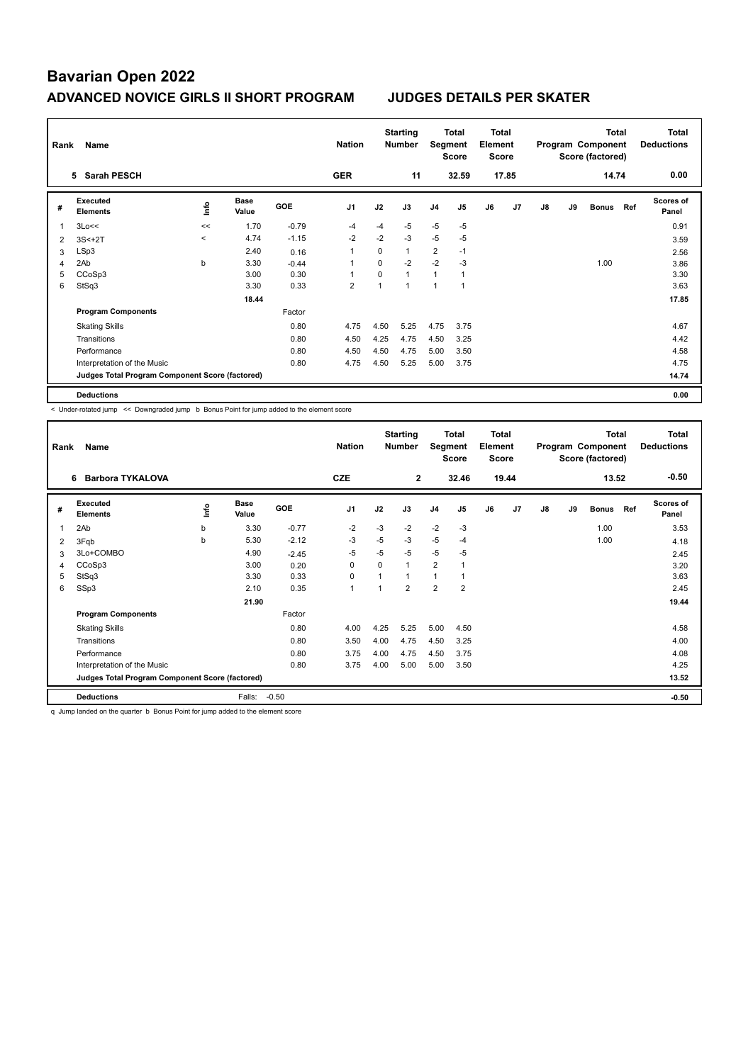| Rank | Name                                            |         |                      |            | <b>Nation</b>            |          | <b>Starting</b><br>Number | Segment        | Total<br><b>Score</b> | <b>Total</b><br>Element<br><b>Score</b> |                |    |    | <b>Total</b><br>Program Component<br>Score (factored) |     | Total<br><b>Deductions</b> |
|------|-------------------------------------------------|---------|----------------------|------------|--------------------------|----------|---------------------------|----------------|-----------------------|-----------------------------------------|----------------|----|----|-------------------------------------------------------|-----|----------------------------|
|      | 5 Sarah PESCH                                   |         |                      |            | <b>GER</b>               |          | 11                        |                | 32.59                 |                                         | 17.85          |    |    | 14.74                                                 |     | 0.00                       |
| #    | Executed<br><b>Elements</b>                     | ١nf٥    | <b>Base</b><br>Value | <b>GOE</b> | J <sub>1</sub>           | J2       | J3                        | J <sub>4</sub> | J <sub>5</sub>        | J6                                      | J <sub>7</sub> | J8 | J9 | <b>Bonus</b>                                          | Ref | <b>Scores of</b><br>Panel  |
| 1    | 3Lo<<                                           | <<      | 1.70                 | $-0.79$    | -4                       | $-4$     | $-5$                      | $-5$           | $-5$                  |                                         |                |    |    |                                                       |     | 0.91                       |
| 2    | $3S<+2T$                                        | $\prec$ | 4.74                 | $-1.15$    | $-2$                     | $-2$     | $-3$                      | $-5$           | -5                    |                                         |                |    |    |                                                       |     | 3.59                       |
| 3    | LSp3                                            |         | 2.40                 | 0.16       | 1                        | $\Omega$ | $\mathbf{1}$              | $\overline{2}$ | $-1$                  |                                         |                |    |    |                                                       |     | 2.56                       |
| 4    | 2Ab                                             | b       | 3.30                 | $-0.44$    | 1                        | $\Omega$ | $-2$                      | $-2$           | $-3$                  |                                         |                |    |    | 1.00                                                  |     | 3.86                       |
| 5    | CCoSp3                                          |         | 3.00                 | 0.30       | $\overline{\phantom{a}}$ | $\Omega$ | $\mathbf{1}$              | $\mathbf{1}$   | 1                     |                                         |                |    |    |                                                       |     | 3.30                       |
| 6    | StSq3                                           |         | 3.30                 | 0.33       | $\overline{2}$           |          | $\mathbf{1}$              | 1              | 1                     |                                         |                |    |    |                                                       |     | 3.63                       |
|      |                                                 |         | 18.44                |            |                          |          |                           |                |                       |                                         |                |    |    |                                                       |     | 17.85                      |
|      | <b>Program Components</b>                       |         |                      | Factor     |                          |          |                           |                |                       |                                         |                |    |    |                                                       |     |                            |
|      | <b>Skating Skills</b>                           |         |                      | 0.80       | 4.75                     | 4.50     | 5.25                      | 4.75           | 3.75                  |                                         |                |    |    |                                                       |     | 4.67                       |
|      | Transitions                                     |         |                      | 0.80       | 4.50                     | 4.25     | 4.75                      | 4.50           | 3.25                  |                                         |                |    |    |                                                       |     | 4.42                       |
|      | Performance                                     |         |                      | 0.80       | 4.50                     | 4.50     | 4.75                      | 5.00           | 3.50                  |                                         |                |    |    |                                                       |     | 4.58                       |
|      | Interpretation of the Music                     |         |                      | 0.80       | 4.75                     | 4.50     | 5.25                      | 5.00           | 3.75                  |                                         |                |    |    |                                                       |     | 4.75                       |
|      | Judges Total Program Component Score (factored) |         |                      |            |                          |          |                           |                |                       |                                         |                |    |    |                                                       |     | 14.74                      |
|      | <b>Deductions</b>                               |         |                      |            |                          |          |                           |                |                       |                                         |                |    |    |                                                       |     | 0.00                       |

< Under-rotated jump << Downgraded jump b Bonus Point for jump added to the element score

| Rank | Name                                            |      |                      |            | <b>Nation</b>  |                | <b>Starting</b><br><b>Number</b> | Segment        | <b>Total</b><br><b>Score</b> | <b>Total</b><br>Element<br><b>Score</b> |                |    |    | <b>Total</b><br>Program Component<br>Score (factored) |     | <b>Total</b><br><b>Deductions</b> |
|------|-------------------------------------------------|------|----------------------|------------|----------------|----------------|----------------------------------|----------------|------------------------------|-----------------------------------------|----------------|----|----|-------------------------------------------------------|-----|-----------------------------------|
|      | <b>Barbora TYKALOVA</b><br>6                    |      |                      |            | <b>CZE</b>     |                | $\overline{2}$                   |                | 32.46                        |                                         | 19.44          |    |    | 13.52                                                 |     | $-0.50$                           |
| #    | Executed<br><b>Elements</b>                     | lnfo | <b>Base</b><br>Value | <b>GOE</b> | J <sub>1</sub> | J2             | J3                               | J <sub>4</sub> | J <sub>5</sub>               | J6                                      | J <sub>7</sub> | J8 | J9 | <b>Bonus</b>                                          | Ref | Scores of<br>Panel                |
| 1    | 2Ab                                             | b    | 3.30                 | $-0.77$    | $-2$           | $-3$           | $-2$                             | $-2$           | $-3$                         |                                         |                |    |    | 1.00                                                  |     | 3.53                              |
| 2    | 3Fqb                                            | b    | 5.30                 | $-2.12$    | -3             | $-5$           | $-3$                             | $-5$           | $-4$                         |                                         |                |    |    | 1.00                                                  |     | 4.18                              |
| 3    | 3Lo+COMBO                                       |      | 4.90                 | $-2.45$    | $-5$           | $-5$           | $-5$                             | $-5$           | $-5$                         |                                         |                |    |    |                                                       |     | 2.45                              |
| 4    | CCoSp3                                          |      | 3.00                 | 0.20       | $\mathbf 0$    | 0              | 1                                | $\overline{2}$ | $\mathbf{1}$                 |                                         |                |    |    |                                                       |     | 3.20                              |
| 5    | StSq3                                           |      | 3.30                 | 0.33       | 0              | 1              | 1                                | $\overline{1}$ | 1                            |                                         |                |    |    |                                                       |     | 3.63                              |
| 6    | SSp3                                            |      | 2.10                 | 0.35       | $\mathbf{1}$   | $\overline{ }$ | $\overline{2}$                   | $\overline{2}$ | $\overline{2}$               |                                         |                |    |    |                                                       |     | 2.45                              |
|      |                                                 |      | 21.90                |            |                |                |                                  |                |                              |                                         |                |    |    |                                                       |     | 19.44                             |
|      | <b>Program Components</b>                       |      |                      | Factor     |                |                |                                  |                |                              |                                         |                |    |    |                                                       |     |                                   |
|      | <b>Skating Skills</b>                           |      |                      | 0.80       | 4.00           | 4.25           | 5.25                             | 5.00           | 4.50                         |                                         |                |    |    |                                                       |     | 4.58                              |
|      | Transitions                                     |      |                      | 0.80       | 3.50           | 4.00           | 4.75                             | 4.50           | 3.25                         |                                         |                |    |    |                                                       |     | 4.00                              |
|      | Performance                                     |      |                      | 0.80       | 3.75           | 4.00           | 4.75                             | 4.50           | 3.75                         |                                         |                |    |    |                                                       |     | 4.08                              |
|      | Interpretation of the Music                     |      |                      | 0.80       | 3.75           | 4.00           | 5.00                             | 5.00           | 3.50                         |                                         |                |    |    |                                                       |     | 4.25                              |
|      | Judges Total Program Component Score (factored) |      |                      |            |                |                |                                  |                |                              |                                         |                |    |    |                                                       |     | 13.52                             |
|      | <b>Deductions</b>                               |      | Falls:               | $-0.50$    |                |                |                                  |                |                              |                                         |                |    |    |                                                       |     | $-0.50$                           |

q Jump landed on the quarter b Bonus Point for jump added to the element score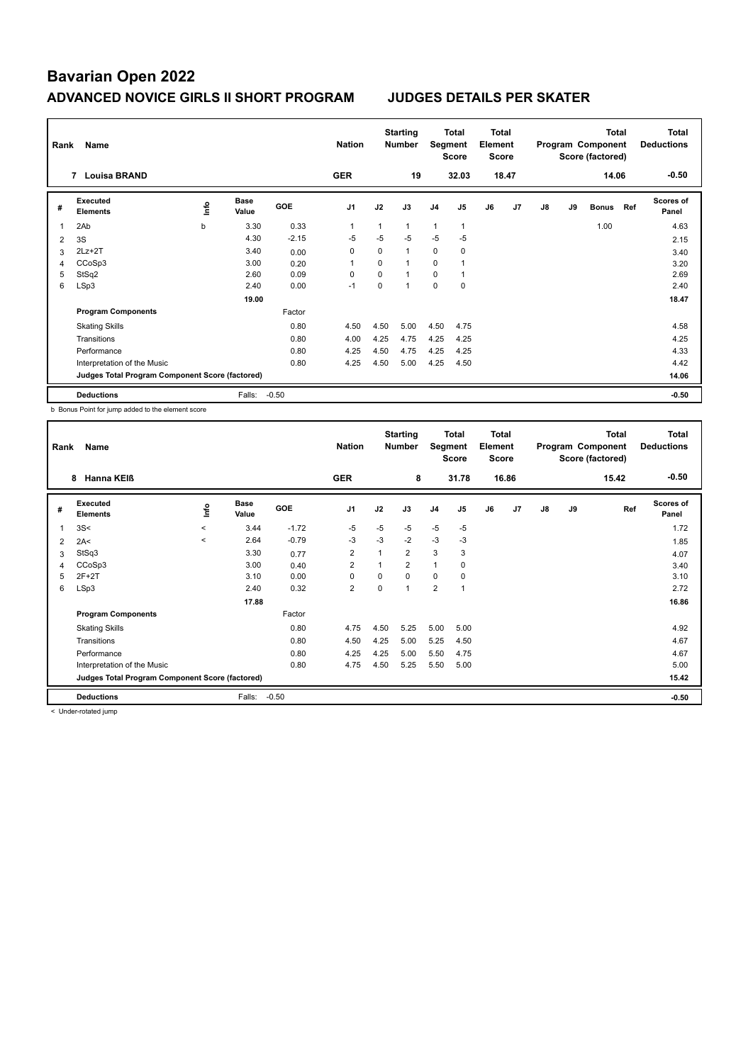| Rank | Name                                            |                                  |                      |         | <b>Nation</b>  |          | <b>Starting</b><br><b>Number</b> | Segment        | Total<br><b>Score</b> | <b>Total</b><br>Element<br><b>Score</b> |                |    |    | <b>Total</b><br>Program Component<br>Score (factored) |     | Total<br><b>Deductions</b> |
|------|-------------------------------------------------|----------------------------------|----------------------|---------|----------------|----------|----------------------------------|----------------|-----------------------|-----------------------------------------|----------------|----|----|-------------------------------------------------------|-----|----------------------------|
|      | <b>Louisa BRAND</b><br>7                        |                                  |                      |         | <b>GER</b>     |          | 19                               |                | 32.03                 |                                         | 18.47          |    |    | 14.06                                                 |     | $-0.50$                    |
| #    | Executed<br><b>Elements</b>                     | $\mathop{\mathsf{Irr}}\nolimits$ | <b>Base</b><br>Value | GOE     | J <sub>1</sub> | J2       | J3                               | J <sub>4</sub> | J <sub>5</sub>        | J6                                      | J <sub>7</sub> | J8 | J9 | <b>Bonus</b>                                          | Ref | <b>Scores of</b><br>Panel  |
| 1    | 2Ab                                             | b                                | 3.30                 | 0.33    | $\overline{1}$ |          | 1                                | 1              | 1                     |                                         |                |    |    | 1.00                                                  |     | 4.63                       |
| 2    | 3S                                              |                                  | 4.30                 | $-2.15$ | -5             | $-5$     | $-5$                             | $-5$           | -5                    |                                         |                |    |    |                                                       |     | 2.15                       |
| 3    | $2Lz+2T$                                        |                                  | 3.40                 | 0.00    | 0              | $\Omega$ | $\mathbf{1}$                     | $\mathbf 0$    | $\mathbf 0$           |                                         |                |    |    |                                                       |     | 3.40                       |
| 4    | CCoSp3                                          |                                  | 3.00                 | 0.20    | 1              | 0        | $\mathbf 1$                      | 0              |                       |                                         |                |    |    |                                                       |     | 3.20                       |
| 5    | StSq2                                           |                                  | 2.60                 | 0.09    | $\Omega$       | 0        | $\mathbf 1$                      | 0              |                       |                                         |                |    |    |                                                       |     | 2.69                       |
| 6    | LSp3                                            |                                  | 2.40                 | 0.00    | $-1$           | $\Omega$ | $\mathbf 1$                      | $\mathbf 0$    | $\mathbf 0$           |                                         |                |    |    |                                                       |     | 2.40                       |
|      |                                                 |                                  | 19.00                |         |                |          |                                  |                |                       |                                         |                |    |    |                                                       |     | 18.47                      |
|      | <b>Program Components</b>                       |                                  |                      | Factor  |                |          |                                  |                |                       |                                         |                |    |    |                                                       |     |                            |
|      | <b>Skating Skills</b>                           |                                  |                      | 0.80    | 4.50           | 4.50     | 5.00                             | 4.50           | 4.75                  |                                         |                |    |    |                                                       |     | 4.58                       |
|      | Transitions                                     |                                  |                      | 0.80    | 4.00           | 4.25     | 4.75                             | 4.25           | 4.25                  |                                         |                |    |    |                                                       |     | 4.25                       |
|      | Performance                                     |                                  |                      | 0.80    | 4.25           | 4.50     | 4.75                             | 4.25           | 4.25                  |                                         |                |    |    |                                                       |     | 4.33                       |
|      | Interpretation of the Music                     |                                  |                      | 0.80    | 4.25           | 4.50     | 5.00                             | 4.25           | 4.50                  |                                         |                |    |    |                                                       |     | 4.42                       |
|      | Judges Total Program Component Score (factored) |                                  |                      |         |                |          |                                  |                |                       |                                         |                |    |    |                                                       |     | 14.06                      |
|      | <b>Deductions</b>                               |                                  | Falls:               | $-0.50$ |                |          |                                  |                |                       |                                         |                |    |    |                                                       |     | $-0.50$                    |

b Bonus Point for jump added to the element score

| Rank           | Name                                            |          |                      |         | <b>Nation</b>  |      | <b>Starting</b><br><b>Number</b> | Segment        | Total<br><b>Score</b> | Total<br>Element<br><b>Score</b> |                |    |    | <b>Total</b><br>Program Component<br>Score (factored) | Total<br><b>Deductions</b> |
|----------------|-------------------------------------------------|----------|----------------------|---------|----------------|------|----------------------------------|----------------|-----------------------|----------------------------------|----------------|----|----|-------------------------------------------------------|----------------------------|
|                | Hanna KEIß<br>8                                 |          |                      |         | <b>GER</b>     |      | 8                                |                | 31.78                 |                                  | 16.86          |    |    | 15.42                                                 | $-0.50$                    |
| #              | Executed<br><b>Elements</b>                     | ١mfo     | <b>Base</b><br>Value | GOE     | J <sub>1</sub> | J2   | J3                               | J <sub>4</sub> | J <sub>5</sub>        | J6                               | J <sub>7</sub> | J8 | J9 | Ref                                                   | <b>Scores of</b><br>Panel  |
| $\overline{1}$ | 3S<                                             | $\hat{}$ | 3.44                 | $-1.72$ | $-5$           | $-5$ | $-5$                             | $-5$           | $-5$                  |                                  |                |    |    |                                                       | 1.72                       |
| 2              | 2A<                                             | $\prec$  | 2.64                 | $-0.79$ | -3             | -3   | $-2$                             | $-3$           | $-3$                  |                                  |                |    |    |                                                       | 1.85                       |
| 3              | StSq3                                           |          | 3.30                 | 0.77    | $\overline{2}$ | 1    | $\overline{2}$                   | 3              | 3                     |                                  |                |    |    |                                                       | 4.07                       |
| 4              | CCoSp3                                          |          | 3.00                 | 0.40    | $\overline{2}$ |      | $\overline{2}$                   | $\mathbf{1}$   | 0                     |                                  |                |    |    |                                                       | 3.40                       |
| 5              | $2F+2T$                                         |          | 3.10                 | 0.00    | 0              | 0    | $\Omega$                         | 0              | 0                     |                                  |                |    |    |                                                       | 3.10                       |
| 6              | LSp3                                            |          | 2.40                 | 0.32    | $\overline{2}$ | 0    | $\overline{ }$                   | $\overline{2}$ | $\overline{1}$        |                                  |                |    |    |                                                       | 2.72                       |
|                |                                                 |          | 17.88                |         |                |      |                                  |                |                       |                                  |                |    |    |                                                       | 16.86                      |
|                | <b>Program Components</b>                       |          |                      | Factor  |                |      |                                  |                |                       |                                  |                |    |    |                                                       |                            |
|                | <b>Skating Skills</b>                           |          |                      | 0.80    | 4.75           | 4.50 | 5.25                             | 5.00           | 5.00                  |                                  |                |    |    |                                                       | 4.92                       |
|                | Transitions                                     |          |                      | 0.80    | 4.50           | 4.25 | 5.00                             | 5.25           | 4.50                  |                                  |                |    |    |                                                       | 4.67                       |
|                | Performance                                     |          |                      | 0.80    | 4.25           | 4.25 | 5.00                             | 5.50           | 4.75                  |                                  |                |    |    |                                                       | 4.67                       |
|                | Interpretation of the Music                     |          |                      | 0.80    | 4.75           | 4.50 | 5.25                             | 5.50           | 5.00                  |                                  |                |    |    |                                                       | 5.00                       |
|                | Judges Total Program Component Score (factored) |          |                      |         |                |      |                                  |                |                       |                                  |                |    |    |                                                       | 15.42                      |
|                | <b>Deductions</b>                               |          | Falls:               | $-0.50$ |                |      |                                  |                |                       |                                  |                |    |    |                                                       | $-0.50$                    |

< Under-rotated jump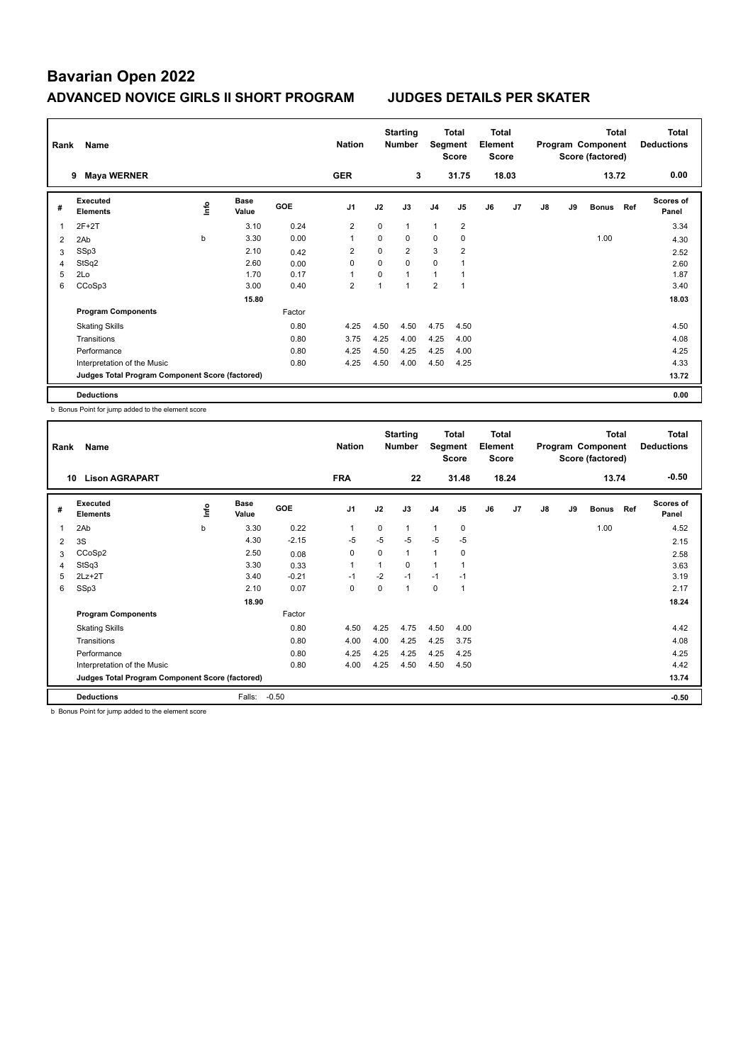| Rank | Name                                            |      |                      | <b>Nation</b> |                | <b>Starting</b><br><b>Number</b> | Segment        | Total<br><b>Score</b> | <b>Total</b><br>Element<br><b>Score</b> |    |                |    | <b>Total</b><br>Program Component<br>Score (factored) |              | <b>Total</b><br><b>Deductions</b> |                           |
|------|-------------------------------------------------|------|----------------------|---------------|----------------|----------------------------------|----------------|-----------------------|-----------------------------------------|----|----------------|----|-------------------------------------------------------|--------------|-----------------------------------|---------------------------|
|      | <b>Maya WERNER</b><br>9                         |      |                      |               | <b>GER</b>     |                                  | 3              |                       | 31.75                                   |    | 18.03          |    |                                                       | 13.72        |                                   | 0.00                      |
| #    | Executed<br><b>Elements</b>                     | lnfo | <b>Base</b><br>Value | <b>GOE</b>    | J <sub>1</sub> | J2                               | J3             | J <sub>4</sub>        | J <sub>5</sub>                          | J6 | J <sub>7</sub> | J8 | J9                                                    | <b>Bonus</b> | Ref                               | <b>Scores of</b><br>Panel |
| 1    | $2F+2T$                                         |      | 3.10                 | 0.24          | $\overline{2}$ | $\mathbf 0$                      | $\mathbf{1}$   | $\mathbf{1}$          | $\overline{2}$                          |    |                |    |                                                       |              |                                   | 3.34                      |
| 2    | 2Ab                                             | b    | 3.30                 | 0.00          | 1              | 0                                | 0              | 0                     | 0                                       |    |                |    |                                                       | 1.00         |                                   | 4.30                      |
| 3    | SSp3                                            |      | 2.10                 | 0.42          | $\overline{2}$ | $\Omega$                         | $\overline{2}$ | 3                     | $\overline{2}$                          |    |                |    |                                                       |              |                                   | 2.52                      |
| 4    | StSq2                                           |      | 2.60                 | 0.00          | 0              | $\Omega$                         | $\Omega$       | $\mathbf 0$           |                                         |    |                |    |                                                       |              |                                   | 2.60                      |
| 5    | 2Lo                                             |      | 1.70                 | 0.17          | $\overline{1}$ | $\Omega$                         | $\mathbf{1}$   | 1                     |                                         |    |                |    |                                                       |              |                                   | 1.87                      |
| 6    | CCoSp3                                          |      | 3.00                 | 0.40          | $\overline{2}$ |                                  | $\overline{1}$ | $\overline{2}$        | $\overline{1}$                          |    |                |    |                                                       |              |                                   | 3.40                      |
|      |                                                 |      | 15.80                |               |                |                                  |                |                       |                                         |    |                |    |                                                       |              |                                   | 18.03                     |
|      | <b>Program Components</b>                       |      |                      | Factor        |                |                                  |                |                       |                                         |    |                |    |                                                       |              |                                   |                           |
|      | <b>Skating Skills</b>                           |      |                      | 0.80          | 4.25           | 4.50                             | 4.50           | 4.75                  | 4.50                                    |    |                |    |                                                       |              |                                   | 4.50                      |
|      | Transitions                                     |      |                      | 0.80          | 3.75           | 4.25                             | 4.00           | 4.25                  | 4.00                                    |    |                |    |                                                       |              |                                   | 4.08                      |
|      | Performance                                     |      |                      | 0.80          | 4.25           | 4.50                             | 4.25           | 4.25                  | 4.00                                    |    |                |    |                                                       |              |                                   | 4.25                      |
|      | Interpretation of the Music                     |      |                      | 0.80          | 4.25           | 4.50                             | 4.00           | 4.50                  | 4.25                                    |    |                |    |                                                       |              |                                   | 4.33                      |
|      | Judges Total Program Component Score (factored) |      |                      |               |                |                                  |                |                       |                                         |    |                |    |                                                       |              |                                   | 13.72                     |
|      | <b>Deductions</b>                               |      |                      |               |                |                                  |                |                       |                                         |    |                |    |                                                       |              |                                   | 0.00                      |

b Bonus Point for jump added to the element score

| Rank           | Name                                            |      |                      |            | <b>Nation</b>  |             | <b>Starting</b><br><b>Number</b> | Segment        | Total<br><b>Score</b> | Total<br>Element<br>Score |                |    |    | <b>Total</b><br>Program Component<br>Score (factored) |     | Total<br><b>Deductions</b> |
|----------------|-------------------------------------------------|------|----------------------|------------|----------------|-------------|----------------------------------|----------------|-----------------------|---------------------------|----------------|----|----|-------------------------------------------------------|-----|----------------------------|
|                | <b>Lison AGRAPART</b><br>10                     |      |                      |            | <b>FRA</b>     |             | 22                               |                | 31.48                 |                           | 18.24          |    |    | 13.74                                                 |     | $-0.50$                    |
| #              | Executed<br><b>Elements</b>                     | lnfo | <b>Base</b><br>Value | <b>GOE</b> | J1             | J2          | J3                               | J <sub>4</sub> | J5                    | J6                        | J <sub>7</sub> | J8 | J9 | <b>Bonus</b>                                          | Ref | <b>Scores of</b><br>Panel  |
| $\overline{1}$ | 2Ab                                             | b    | 3.30                 | 0.22       | $\overline{1}$ | $\mathbf 0$ | 1                                | $\mathbf{1}$   | 0                     |                           |                |    |    | 1.00                                                  |     | 4.52                       |
| 2              | 3S                                              |      | 4.30                 | $-2.15$    | $-5$           | $-5$        | $-5$                             | $-5$           | $-5$                  |                           |                |    |    |                                                       |     | 2.15                       |
| 3              | CCoSp2                                          |      | 2.50                 | 0.08       | 0              | 0           | 1                                | $\overline{1}$ | 0                     |                           |                |    |    |                                                       |     | 2.58                       |
| 4              | StSq3                                           |      | 3.30                 | 0.33       |                | 1           | 0                                | 1              | 1                     |                           |                |    |    |                                                       |     | 3.63                       |
| 5              | $2Lz+2T$                                        |      | 3.40                 | $-0.21$    | $-1$           | $-2$        | $-1$                             | $-1$           | $-1$                  |                           |                |    |    |                                                       |     | 3.19                       |
| 6              | SSp3                                            |      | 2.10                 | 0.07       | 0              | 0           | 1                                | $\mathbf 0$    | $\overline{1}$        |                           |                |    |    |                                                       |     | 2.17                       |
|                |                                                 |      | 18.90                |            |                |             |                                  |                |                       |                           |                |    |    |                                                       |     | 18.24                      |
|                | <b>Program Components</b>                       |      |                      | Factor     |                |             |                                  |                |                       |                           |                |    |    |                                                       |     |                            |
|                | <b>Skating Skills</b>                           |      |                      | 0.80       | 4.50           | 4.25        | 4.75                             | 4.50           | 4.00                  |                           |                |    |    |                                                       |     | 4.42                       |
|                | Transitions                                     |      |                      | 0.80       | 4.00           | 4.00        | 4.25                             | 4.25           | 3.75                  |                           |                |    |    |                                                       |     | 4.08                       |
|                | Performance                                     |      |                      | 0.80       | 4.25           | 4.25        | 4.25                             | 4.25           | 4.25                  |                           |                |    |    |                                                       |     | 4.25                       |
|                | Interpretation of the Music                     |      |                      | 0.80       | 4.00           | 4.25        | 4.50                             | 4.50           | 4.50                  |                           |                |    |    |                                                       |     | 4.42                       |
|                | Judges Total Program Component Score (factored) |      |                      |            |                |             |                                  |                |                       |                           |                |    |    |                                                       |     | 13.74                      |
|                | <b>Deductions</b>                               |      | Falls:               | $-0.50$    |                |             |                                  |                |                       |                           |                |    |    |                                                       |     | $-0.50$                    |

b Bonus Point for jump added to the element score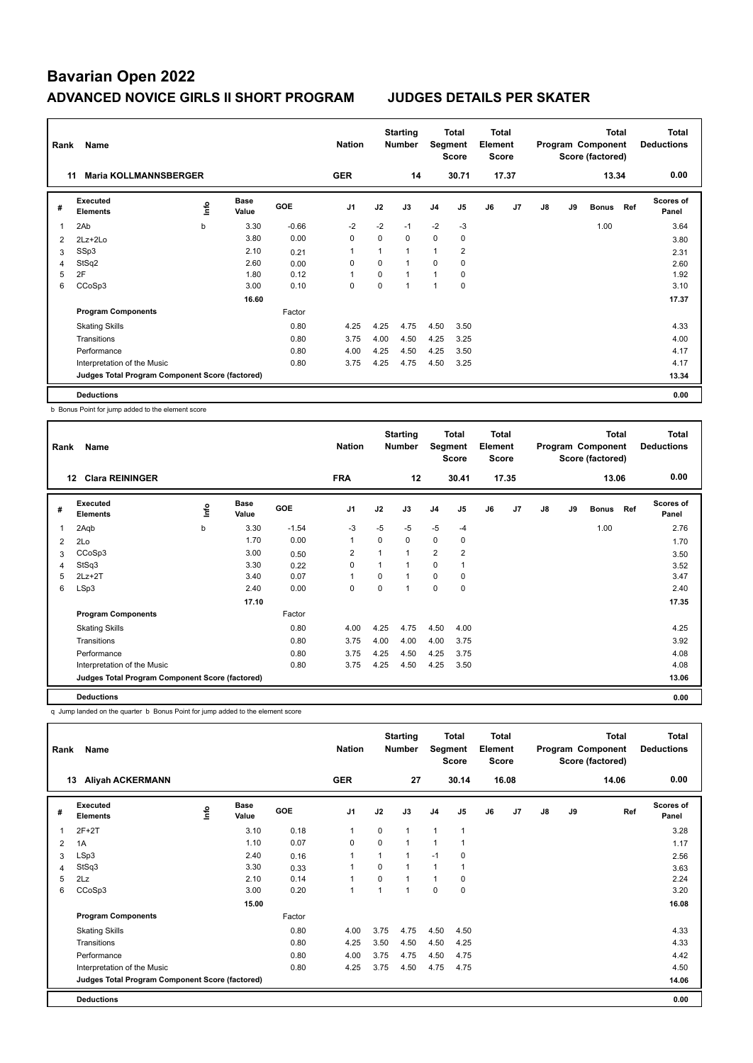| Rank | Name                                            |      |                      |         | <b>Nation</b>  |             | <b>Starting</b><br><b>Number</b> | Segment        | Total<br><b>Score</b> | <b>Total</b><br>Element<br><b>Score</b> |                |    |    | <b>Total</b><br>Program Component<br>Score (factored) |     | <b>Total</b><br><b>Deductions</b> |
|------|-------------------------------------------------|------|----------------------|---------|----------------|-------------|----------------------------------|----------------|-----------------------|-----------------------------------------|----------------|----|----|-------------------------------------------------------|-----|-----------------------------------|
|      | <b>Maria KOLLMANNSBERGER</b><br>11              |      |                      |         | <b>GER</b>     |             | 14                               |                | 30.71                 |                                         | 17.37          |    |    | 13.34                                                 |     | 0.00                              |
| #    | Executed<br><b>Elements</b>                     | ١nf٥ | <b>Base</b><br>Value | GOE     | J <sub>1</sub> | J2          | J3                               | J <sub>4</sub> | J <sub>5</sub>        | J6                                      | J <sub>7</sub> | J8 | J9 | <b>Bonus</b>                                          | Ref | <b>Scores of</b><br>Panel         |
| 1    | 2Ab                                             | b    | 3.30                 | $-0.66$ | $-2$           | $-2$        | $-1$                             | $-2$           | $-3$                  |                                         |                |    |    | 1.00                                                  |     | 3.64                              |
| 2    | 2Lz+2Lo                                         |      | 3.80                 | 0.00    | 0              | $\mathbf 0$ | 0                                | $\mathbf 0$    | 0                     |                                         |                |    |    |                                                       |     | 3.80                              |
| 3    | SSp3                                            |      | 2.10                 | 0.21    | 1              |             | $\mathbf{1}$                     | $\mathbf{1}$   | $\overline{2}$        |                                         |                |    |    |                                                       |     | 2.31                              |
| 4    | StSq2                                           |      | 2.60                 | 0.00    | 0              | $\Omega$    | $\mathbf{1}$                     | $\Omega$       | 0                     |                                         |                |    |    |                                                       |     | 2.60                              |
| 5    | 2F                                              |      | 1.80                 | 0.12    | $\overline{1}$ | $\Omega$    | $\mathbf 1$                      | 1              | 0                     |                                         |                |    |    |                                                       |     | 1.92                              |
| 6    | CCoSp3                                          |      | 3.00                 | 0.10    | 0              | $\Omega$    | $\mathbf 1$                      | 1              | $\mathbf 0$           |                                         |                |    |    |                                                       |     | 3.10                              |
|      |                                                 |      | 16.60                |         |                |             |                                  |                |                       |                                         |                |    |    |                                                       |     | 17.37                             |
|      | <b>Program Components</b>                       |      |                      | Factor  |                |             |                                  |                |                       |                                         |                |    |    |                                                       |     |                                   |
|      | <b>Skating Skills</b>                           |      |                      | 0.80    | 4.25           | 4.25        | 4.75                             | 4.50           | 3.50                  |                                         |                |    |    |                                                       |     | 4.33                              |
|      | Transitions                                     |      |                      | 0.80    | 3.75           | 4.00        | 4.50                             | 4.25           | 3.25                  |                                         |                |    |    |                                                       |     | 4.00                              |
|      | Performance                                     |      |                      | 0.80    | 4.00           | 4.25        | 4.50                             | 4.25           | 3.50                  |                                         |                |    |    |                                                       |     | 4.17                              |
|      | Interpretation of the Music                     |      |                      | 0.80    | 3.75           | 4.25        | 4.75                             | 4.50           | 3.25                  |                                         |                |    |    |                                                       |     | 4.17                              |
|      | Judges Total Program Component Score (factored) |      |                      |         |                |             |                                  |                |                       |                                         |                |    |    |                                                       |     | 13.34                             |
|      | <b>Deductions</b>                               |      |                      |         |                |             |                                  |                |                       |                                         |                |    |    |                                                       |     | 0.00                              |

b Bonus Point for jump added to the element score

| Rank | Name                                            |    |                      |            | <b>Nation</b>  |          | <b>Starting</b><br><b>Number</b> | Segment        | Total<br><b>Score</b> | <b>Total</b><br>Element<br><b>Score</b> |       |    |    | <b>Total</b><br>Program Component<br>Score (factored) |     | Total<br><b>Deductions</b> |
|------|-------------------------------------------------|----|----------------------|------------|----------------|----------|----------------------------------|----------------|-----------------------|-----------------------------------------|-------|----|----|-------------------------------------------------------|-----|----------------------------|
|      | <b>Clara REININGER</b><br>12                    |    |                      |            | <b>FRA</b>     |          | 12                               |                | 30.41                 |                                         | 17.35 |    |    | 13.06                                                 |     | 0.00                       |
| #    | Executed<br><b>Elements</b>                     | ١m | <b>Base</b><br>Value | <b>GOE</b> | J <sub>1</sub> | J2       | J3                               | J <sub>4</sub> | J <sub>5</sub>        | J6                                      | J7    | J8 | J9 | <b>Bonus</b>                                          | Ref | <b>Scores of</b><br>Panel  |
| 1    | 2Aqb                                            | b  | 3.30                 | $-1.54$    | $-3$           | $-5$     | $-5$                             | $-5$           | $-4$                  |                                         |       |    |    | 1.00                                                  |     | 2.76                       |
| 2    | 2Lo                                             |    | 1.70                 | 0.00       | 1              | $\Omega$ | 0                                | 0              | 0                     |                                         |       |    |    |                                                       |     | 1.70                       |
| 3    | CCoSp3                                          |    | 3.00                 | 0.50       | $\overline{2}$ | 1        | и                                | $\overline{2}$ | $\overline{2}$        |                                         |       |    |    |                                                       |     | 3.50                       |
| 4    | StSq3                                           |    | 3.30                 | 0.22       | 0              | 1        | 1                                | $\Omega$       | 1                     |                                         |       |    |    |                                                       |     | 3.52                       |
| 5    | $2Lz + 2T$                                      |    | 3.40                 | 0.07       | $\overline{1}$ | $\Omega$ |                                  | $\mathbf 0$    | 0                     |                                         |       |    |    |                                                       |     | 3.47                       |
| 6    | LSp3                                            |    | 2.40                 | 0.00       | 0              | $\Omega$ |                                  | 0              | 0                     |                                         |       |    |    |                                                       |     | 2.40                       |
|      |                                                 |    | 17.10                |            |                |          |                                  |                |                       |                                         |       |    |    |                                                       |     | 17.35                      |
|      | <b>Program Components</b>                       |    |                      | Factor     |                |          |                                  |                |                       |                                         |       |    |    |                                                       |     |                            |
|      | <b>Skating Skills</b>                           |    |                      | 0.80       | 4.00           | 4.25     | 4.75                             | 4.50           | 4.00                  |                                         |       |    |    |                                                       |     | 4.25                       |
|      | Transitions                                     |    |                      | 0.80       | 3.75           | 4.00     | 4.00                             | 4.00           | 3.75                  |                                         |       |    |    |                                                       |     | 3.92                       |
|      | Performance                                     |    |                      | 0.80       | 3.75           | 4.25     | 4.50                             | 4.25           | 3.75                  |                                         |       |    |    |                                                       |     | 4.08                       |
|      | Interpretation of the Music                     |    |                      | 0.80       | 3.75           | 4.25     | 4.50                             | 4.25           | 3.50                  |                                         |       |    |    |                                                       |     | 4.08                       |
|      | Judges Total Program Component Score (factored) |    |                      |            |                |          |                                  |                |                       |                                         |       |    |    |                                                       |     | 13.06                      |
|      | <b>Deductions</b>                               |    |                      |            |                |          |                                  |                |                       |                                         |       |    |    |                                                       |     | 0.00                       |

q Jump landed on the quarter b Bonus Point for jump added to the element score

| Rank | Name                                            |      | <b>Nation</b>        |            | <b>Starting</b><br><b>Number</b> | Segment  | <b>Total</b><br><b>Score</b> | <b>Total</b><br>Element<br><b>Score</b> |                |    |       | Total<br>Program Component<br>Score (factored) | <b>Total</b><br><b>Deductions</b> |       |                           |
|------|-------------------------------------------------|------|----------------------|------------|----------------------------------|----------|------------------------------|-----------------------------------------|----------------|----|-------|------------------------------------------------|-----------------------------------|-------|---------------------------|
|      | <b>Aliyah ACKERMANN</b><br>13                   |      |                      |            | <b>GER</b>                       |          | 27                           |                                         | 30.14          |    | 16.08 |                                                |                                   | 14.06 | 0.00                      |
| #    | Executed<br><b>Elements</b>                     | Info | <b>Base</b><br>Value | <b>GOE</b> | J <sub>1</sub>                   | J2       | J3                           | J <sub>4</sub>                          | J <sub>5</sub> | J6 | J7    | J8                                             | J9                                | Ref   | <b>Scores of</b><br>Panel |
| 1    | $2F+2T$                                         |      | 3.10                 | 0.18       | $\mathbf{1}$                     | $\Omega$ | 1                            | $\mathbf{1}$                            | 1              |    |       |                                                |                                   |       | 3.28                      |
| 2    | 1A                                              |      | 1.10                 | 0.07       | $\mathbf 0$                      | $\Omega$ | $\mathbf{1}$                 | 1                                       |                |    |       |                                                |                                   |       | 1.17                      |
| 3    | LSp3                                            |      | 2.40                 | 0.16       |                                  | 1        | 1                            | $-1$                                    | 0              |    |       |                                                |                                   |       | 2.56                      |
| 4    | StSq3                                           |      | 3.30                 | 0.33       | 1                                | $\Omega$ | 1                            | $\mathbf{1}$                            |                |    |       |                                                |                                   |       | 3.63                      |
| 5    | 2Lz                                             |      | 2.10                 | 0.14       | $\overline{1}$                   | 0        | 1                            | $\mathbf{1}$                            | 0              |    |       |                                                |                                   |       | 2.24                      |
| 6    | CCoSp3                                          |      | 3.00                 | 0.20       | $\mathbf{1}$                     | 1        | 1                            | $\mathbf 0$                             | $\mathbf 0$    |    |       |                                                |                                   |       | 3.20                      |
|      |                                                 |      | 15.00                |            |                                  |          |                              |                                         |                |    |       |                                                |                                   |       | 16.08                     |
|      | <b>Program Components</b>                       |      |                      | Factor     |                                  |          |                              |                                         |                |    |       |                                                |                                   |       |                           |
|      | <b>Skating Skills</b>                           |      |                      | 0.80       | 4.00                             | 3.75     | 4.75                         | 4.50                                    | 4.50           |    |       |                                                |                                   |       | 4.33                      |
|      | Transitions                                     |      |                      | 0.80       | 4.25                             | 3.50     | 4.50                         | 4.50                                    | 4.25           |    |       |                                                |                                   |       | 4.33                      |
|      | Performance                                     |      |                      | 0.80       | 4.00                             | 3.75     | 4.75                         | 4.50                                    | 4.75           |    |       |                                                |                                   |       | 4.42                      |
|      | Interpretation of the Music                     |      |                      | 0.80       | 4.25                             | 3.75     | 4.50                         | 4.75                                    | 4.75           |    |       |                                                |                                   |       | 4.50                      |
|      | Judges Total Program Component Score (factored) |      |                      |            |                                  |          |                              |                                         |                |    |       |                                                |                                   |       | 14.06                     |
|      | <b>Deductions</b>                               |      |                      |            |                                  |          |                              |                                         |                |    |       |                                                |                                   |       | 0.00                      |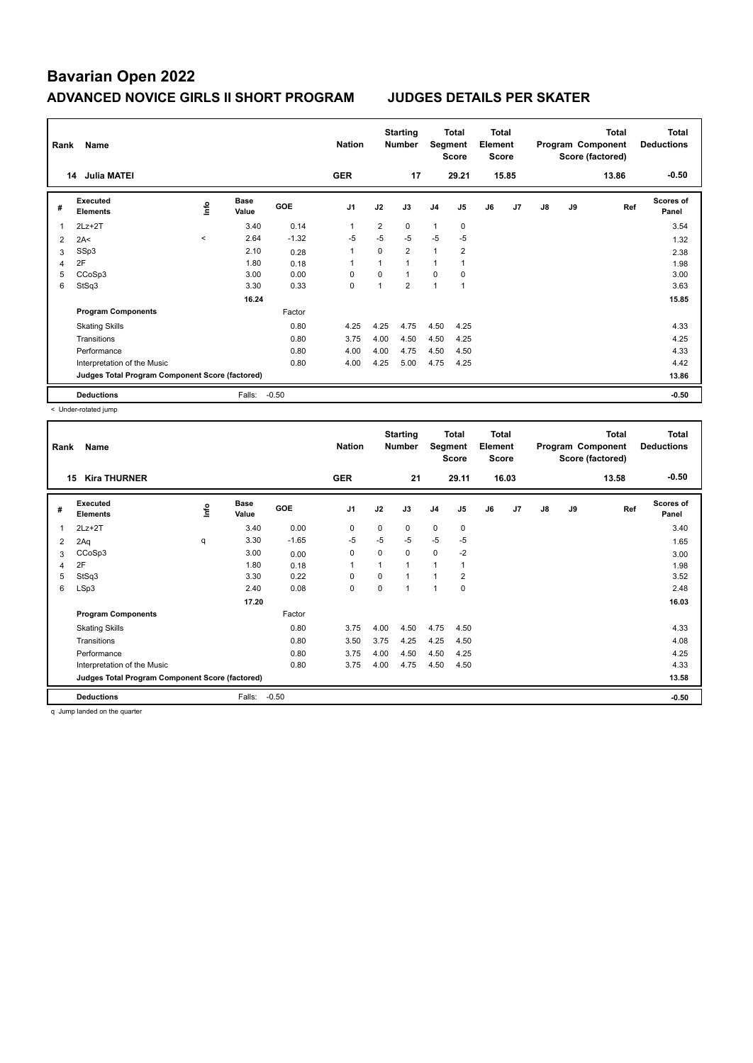| Rank | Name                                            |         | <b>Nation</b>        |            | <b>Starting</b><br><b>Number</b> | Segment        | Total<br><b>Score</b> | <b>Total</b><br>Element<br><b>Score</b> |                |    |                | <b>Total</b><br>Program Component<br>Score (factored) | <b>Total</b><br><b>Deductions</b> |       |                           |
|------|-------------------------------------------------|---------|----------------------|------------|----------------------------------|----------------|-----------------------|-----------------------------------------|----------------|----|----------------|-------------------------------------------------------|-----------------------------------|-------|---------------------------|
|      | <b>Julia MATEI</b><br>14                        |         |                      |            | <b>GER</b>                       |                | 17                    |                                         | 29.21          |    | 15.85          |                                                       |                                   | 13.86 | $-0.50$                   |
| #    | Executed<br><b>Elements</b>                     | ١nf٥    | <b>Base</b><br>Value | <b>GOE</b> | J <sub>1</sub>                   | J2             | J3                    | J <sub>4</sub>                          | J <sub>5</sub> | J6 | J <sub>7</sub> | J8                                                    | J9                                | Ref   | <b>Scores of</b><br>Panel |
| 1    | $2Lz+2T$                                        |         | 3.40                 | 0.14       | -1                               | $\overline{2}$ | $\Omega$              | 1                                       | 0              |    |                |                                                       |                                   |       | 3.54                      |
| 2    | 2A<                                             | $\prec$ | 2.64                 | $-1.32$    | $-5$                             | $-5$           | $-5$                  | $-5$                                    | $-5$           |    |                |                                                       |                                   |       | 1.32                      |
| 3    | SSp3                                            |         | 2.10                 | 0.28       | $\overline{1}$                   | 0              | $\overline{2}$        | $\mathbf{1}$                            | $\overline{2}$ |    |                |                                                       |                                   |       | 2.38                      |
| 4    | 2F                                              |         | 1.80                 | 0.18       | 1                                |                | $\mathbf{1}$          | 1                                       |                |    |                |                                                       |                                   |       | 1.98                      |
| 5    | CCoSp3                                          |         | 3.00                 | 0.00       | $\Omega$                         | $\Omega$       | $\mathbf{1}$          | $\Omega$                                | $\Omega$       |    |                |                                                       |                                   |       | 3.00                      |
| 6    | StSq3                                           |         | 3.30                 | 0.33       | $\mathbf 0$                      |                | $\overline{2}$        | $\mathbf{1}$                            | 1              |    |                |                                                       |                                   |       | 3.63                      |
|      |                                                 |         | 16.24                |            |                                  |                |                       |                                         |                |    |                |                                                       |                                   |       | 15.85                     |
|      | <b>Program Components</b>                       |         |                      | Factor     |                                  |                |                       |                                         |                |    |                |                                                       |                                   |       |                           |
|      | <b>Skating Skills</b>                           |         |                      | 0.80       | 4.25                             | 4.25           | 4.75                  | 4.50                                    | 4.25           |    |                |                                                       |                                   |       | 4.33                      |
|      | Transitions                                     |         |                      | 0.80       | 3.75                             | 4.00           | 4.50                  | 4.50                                    | 4.25           |    |                |                                                       |                                   |       | 4.25                      |
|      | Performance                                     |         |                      | 0.80       | 4.00                             | 4.00           | 4.75                  | 4.50                                    | 4.50           |    |                |                                                       |                                   |       | 4.33                      |
|      | Interpretation of the Music                     |         |                      | 0.80       | 4.00                             | 4.25           | 5.00                  | 4.75                                    | 4.25           |    |                |                                                       |                                   |       | 4.42                      |
|      | Judges Total Program Component Score (factored) |         |                      |            |                                  |                |                       |                                         |                |    |                |                                                       |                                   |       | 13.86                     |
|      | <b>Deductions</b>                               |         | Falls:               | $-0.50$    |                                  |                |                       |                                         |                |    |                |                                                       |                                   |       | $-0.50$                   |

< Under-rotated jump

| Rank           | Name                                            |    |               |         | <b>Nation</b>  |             | <b>Starting</b><br><b>Number</b> | Segment        | <b>Total</b><br><b>Score</b> | <b>Total</b><br>Element<br><b>Score</b> |       |               |    | <b>Total</b><br>Program Component<br>Score (factored) | <b>Total</b><br><b>Deductions</b> |
|----------------|-------------------------------------------------|----|---------------|---------|----------------|-------------|----------------------------------|----------------|------------------------------|-----------------------------------------|-------|---------------|----|-------------------------------------------------------|-----------------------------------|
| 15             | <b>Kira THURNER</b>                             |    |               |         | <b>GER</b>     |             | 21                               |                | 29.11                        |                                         | 16.03 |               |    | 13.58                                                 | $-0.50$                           |
| #              | Executed<br><b>Elements</b>                     | ١m | Base<br>Value | GOE     | J <sub>1</sub> | J2          | J3                               | J <sub>4</sub> | $\mathsf{J}5$                | J6                                      | J7    | $\mathsf{J}8$ | J9 | Ref                                                   | <b>Scores of</b><br>Panel         |
| 1              | $2Lz+2T$                                        |    | 3.40          | 0.00    | 0              | $\Omega$    | 0                                | $\mathbf 0$    | 0                            |                                         |       |               |    |                                                       | 3.40                              |
| 2              | 2Aq                                             | q  | 3.30          | $-1.65$ | $-5$           | $-5$        | $-5$                             | -5             | -5                           |                                         |       |               |    |                                                       | 1.65                              |
| 3              | CCoSp3                                          |    | 3.00          | 0.00    | $\mathbf 0$    | 0           | 0                                | $\mathbf 0$    | $-2$                         |                                         |       |               |    |                                                       | 3.00                              |
| $\overline{4}$ | 2F                                              |    | 1.80          | 0.18    | 1              |             | $\mathbf{1}$                     | $\overline{1}$ | 1                            |                                         |       |               |    |                                                       | 1.98                              |
| 5              | StSq3                                           |    | 3.30          | 0.22    | 0              | 0           | 1                                | 1              | 2                            |                                         |       |               |    |                                                       | 3.52                              |
| 6              | LSp3                                            |    | 2.40          | 0.08    | $\mathbf 0$    | $\mathbf 0$ | 1                                | $\overline{1}$ | $\mathbf 0$                  |                                         |       |               |    |                                                       | 2.48                              |
|                |                                                 |    | 17.20         |         |                |             |                                  |                |                              |                                         |       |               |    |                                                       | 16.03                             |
|                | <b>Program Components</b>                       |    |               | Factor  |                |             |                                  |                |                              |                                         |       |               |    |                                                       |                                   |
|                | <b>Skating Skills</b>                           |    |               | 0.80    | 3.75           | 4.00        | 4.50                             | 4.75           | 4.50                         |                                         |       |               |    |                                                       | 4.33                              |
|                | Transitions                                     |    |               | 0.80    | 3.50           | 3.75        | 4.25                             | 4.25           | 4.50                         |                                         |       |               |    |                                                       | 4.08                              |
|                | Performance                                     |    |               | 0.80    | 3.75           | 4.00        | 4.50                             | 4.50           | 4.25                         |                                         |       |               |    |                                                       | 4.25                              |
|                | Interpretation of the Music                     |    |               | 0.80    | 3.75           | 4.00        | 4.75                             | 4.50           | 4.50                         |                                         |       |               |    |                                                       | 4.33                              |
|                | Judges Total Program Component Score (factored) |    |               |         |                |             |                                  |                |                              |                                         |       |               |    |                                                       | 13.58                             |
|                | <b>Deductions</b>                               |    | Falls:        | $-0.50$ |                |             |                                  |                |                              |                                         |       |               |    |                                                       | $-0.50$                           |

q Jump landed on the quarter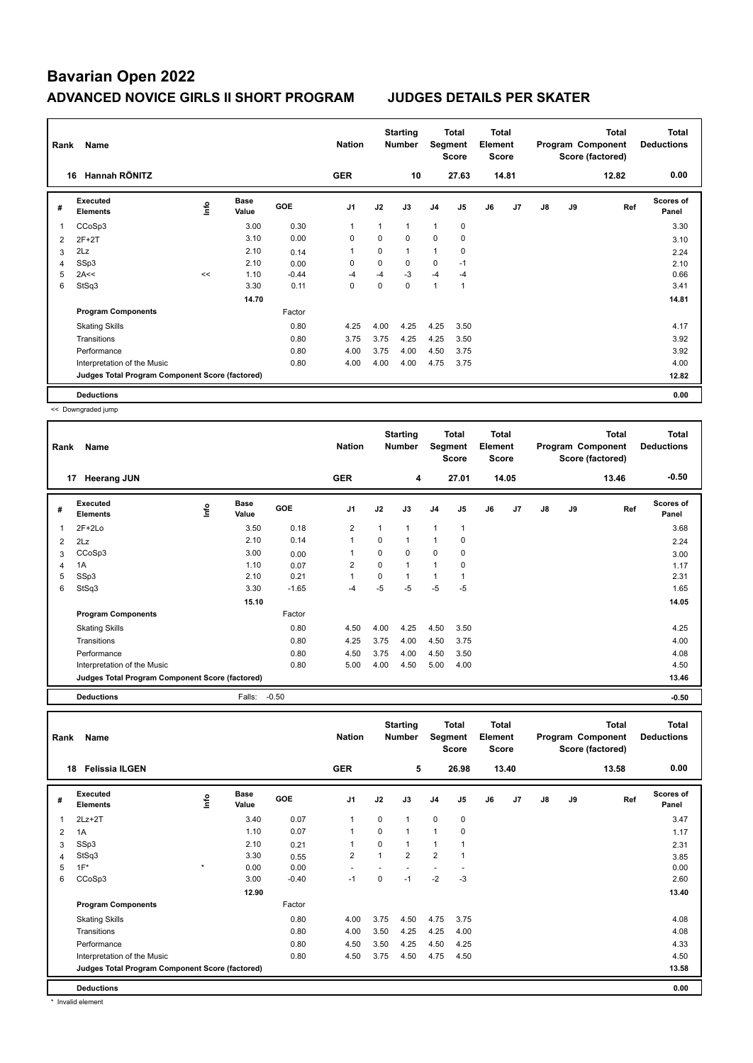| Rank | Name                                            |      |                      |            | <b>Nation</b>  |          | <b>Starting</b><br><b>Number</b> | Segment        | Total<br>Score | <b>Total</b><br>Element<br><b>Score</b> |       |    |    | <b>Total</b><br>Program Component<br>Score (factored) | Total<br><b>Deductions</b> |
|------|-------------------------------------------------|------|----------------------|------------|----------------|----------|----------------------------------|----------------|----------------|-----------------------------------------|-------|----|----|-------------------------------------------------------|----------------------------|
|      | Hannah RÖNITZ<br>16                             |      |                      |            | <b>GER</b>     |          | 10                               |                | 27.63          |                                         | 14.81 |    |    | 12.82                                                 | 0.00                       |
| #    | <b>Executed</b><br><b>Elements</b>              | ١nf٥ | <b>Base</b><br>Value | <b>GOE</b> | J <sub>1</sub> | J2       | J3                               | J <sub>4</sub> | J5             | J6                                      | J7    | J8 | J9 | Ref                                                   | <b>Scores of</b><br>Panel  |
|      | CCoSp3                                          |      | 3.00                 | 0.30       | $\mathbf 1$    | 1        | 1                                | 1              | 0              |                                         |       |    |    |                                                       | 3.30                       |
| 2    | $2F+2T$                                         |      | 3.10                 | 0.00       | 0              | 0        | 0                                | 0              | 0              |                                         |       |    |    |                                                       | 3.10                       |
| 3    | 2Lz                                             |      | 2.10                 | 0.14       | $\overline{1}$ | $\Omega$ | $\mathbf{1}$                     | 1              | 0              |                                         |       |    |    |                                                       | 2.24                       |
| 4    | SSp3                                            |      | 2.10                 | 0.00       | 0              | 0        | 0                                | 0              | $-1$           |                                         |       |    |    |                                                       | 2.10                       |
| 5    | 2A<<                                            | <<   | 1.10                 | $-0.44$    | $-4$           | $-4$     | $-3$                             | $-4$           | $-4$           |                                         |       |    |    |                                                       | 0.66                       |
| 6    | StSq3                                           |      | 3.30                 | 0.11       | 0              | 0        | 0                                | 1              | $\overline{1}$ |                                         |       |    |    |                                                       | 3.41                       |
|      |                                                 |      | 14.70                |            |                |          |                                  |                |                |                                         |       |    |    |                                                       | 14.81                      |
|      | <b>Program Components</b>                       |      |                      | Factor     |                |          |                                  |                |                |                                         |       |    |    |                                                       |                            |
|      | <b>Skating Skills</b>                           |      |                      | 0.80       | 4.25           | 4.00     | 4.25                             | 4.25           | 3.50           |                                         |       |    |    |                                                       | 4.17                       |
|      | Transitions                                     |      |                      | 0.80       | 3.75           | 3.75     | 4.25                             | 4.25           | 3.50           |                                         |       |    |    |                                                       | 3.92                       |
|      | Performance                                     |      |                      | 0.80       | 4.00           | 3.75     | 4.00                             | 4.50           | 3.75           |                                         |       |    |    |                                                       | 3.92                       |
|      | Interpretation of the Music                     |      |                      | 0.80       | 4.00           | 4.00     | 4.00                             | 4.75           | 3.75           |                                         |       |    |    |                                                       | 4.00                       |
|      | Judges Total Program Component Score (factored) |      |                      |            |                |          |                                  |                |                |                                         |       |    |    |                                                       | 12.82                      |
|      | <b>Deductions</b>                               |      |                      |            |                |          |                                  |                |                |                                         |       |    |    |                                                       | 0.00                       |

<< Downgraded jump

| Rank | Name                                            |      |                      |            | <b>Nation</b>  |          | <b>Starting</b><br>Number | Segment        | Total<br><b>Score</b> | <b>Total</b><br>Element<br><b>Score</b> |       |               |    | Total<br>Program Component<br>Score (factored) | <b>Total</b><br><b>Deductions</b> |
|------|-------------------------------------------------|------|----------------------|------------|----------------|----------|---------------------------|----------------|-----------------------|-----------------------------------------|-------|---------------|----|------------------------------------------------|-----------------------------------|
|      | 17<br><b>Heerang JUN</b>                        |      |                      |            | <b>GER</b>     |          | 4                         |                | 27.01                 |                                         | 14.05 |               |    | 13.46                                          | $-0.50$                           |
| #    | <b>Executed</b><br><b>Elements</b>              | lnfo | <b>Base</b><br>Value | <b>GOE</b> | J <sub>1</sub> | J2       | J3                        | J4             | J5                    | J6                                      | J7    | $\mathsf{J}8$ | J9 | Ref                                            | Scores of<br>Panel                |
| 1    | $2F+2Lo$                                        |      | 3.50                 | 0.18       | 2              |          | 1                         | $\overline{1}$ | 1                     |                                         |       |               |    |                                                | 3.68                              |
| 2    | 2Lz                                             |      | 2.10                 | 0.14       | $\overline{1}$ | $\Omega$ | 1                         | $\mathbf{1}$   | $\mathbf 0$           |                                         |       |               |    |                                                | 2.24                              |
| 3    | CCoSp3                                          |      | 3.00                 | 0.00       | -1             | 0        | 0                         | 0              | 0                     |                                         |       |               |    |                                                | 3.00                              |
| 4    | 1A                                              |      | 1.10                 | 0.07       | 2              | 0        | 1                         | $\mathbf{1}$   | 0                     |                                         |       |               |    |                                                | 1.17                              |
| 5    | SSp3                                            |      | 2.10                 | 0.21       | $\mathbf{1}$   | 0        | 1                         | $\mathbf{1}$   |                       |                                         |       |               |    |                                                | 2.31                              |
| 6    | StSq3                                           |      | 3.30                 | $-1.65$    | -4             | $-5$     | $-5$                      | $-5$           | $-5$                  |                                         |       |               |    |                                                | 1.65                              |
|      |                                                 |      | 15.10                |            |                |          |                           |                |                       |                                         |       |               |    |                                                | 14.05                             |
|      | <b>Program Components</b>                       |      |                      | Factor     |                |          |                           |                |                       |                                         |       |               |    |                                                |                                   |
|      | <b>Skating Skills</b>                           |      |                      | 0.80       | 4.50           | 4.00     | 4.25                      | 4.50           | 3.50                  |                                         |       |               |    |                                                | 4.25                              |
|      | Transitions                                     |      |                      | 0.80       | 4.25           | 3.75     | 4.00                      | 4.50           | 3.75                  |                                         |       |               |    |                                                | 4.00                              |
|      | Performance                                     |      |                      | 0.80       | 4.50           | 3.75     | 4.00                      | 4.50           | 3.50                  |                                         |       |               |    |                                                | 4.08                              |
|      | Interpretation of the Music                     |      |                      | 0.80       | 5.00           | 4.00     | 4.50                      | 5.00           | 4.00                  |                                         |       |               |    |                                                | 4.50                              |
|      | Judges Total Program Component Score (factored) |      |                      |            |                |          |                           |                |                       |                                         |       |               |    |                                                | 13.46                             |

**Deductions** Falls: -0.50 **-0.50**

| Rank           | Name                                            |         |                      |            | <b>Nation</b>  |              | <b>Starting</b><br>Number | Segment        | <b>Total</b><br><b>Score</b> | <b>Total</b><br>Element<br><b>Score</b> |                |               |    | <b>Total</b><br>Program Component<br>Score (factored) | <b>Total</b><br><b>Deductions</b> |
|----------------|-------------------------------------------------|---------|----------------------|------------|----------------|--------------|---------------------------|----------------|------------------------------|-----------------------------------------|----------------|---------------|----|-------------------------------------------------------|-----------------------------------|
|                | <b>Felissia ILGEN</b><br>18                     |         |                      |            | <b>GER</b>     |              | 5                         |                | 26.98                        |                                         | 13.40          |               |    | 13.58                                                 | 0.00                              |
| #              | Executed<br><b>Elements</b>                     | ۴       | <b>Base</b><br>Value | <b>GOE</b> | J <sub>1</sub> | J2           | J3                        | J <sub>4</sub> | J <sub>5</sub>               | J6                                      | J <sub>7</sub> | $\mathsf{J}8$ | J9 | Ref                                                   | Scores of<br>Panel                |
| $\overline{1}$ | $2Lz + 2T$                                      |         | 3.40                 | 0.07       |                | $\mathbf 0$  | $\mathbf{1}$              | $\mathbf 0$    | $\mathbf 0$                  |                                         |                |               |    |                                                       | 3.47                              |
| $\overline{2}$ | 1A                                              |         | 1.10                 | 0.07       |                | $\mathbf 0$  | $\mathbf{1}$              | $\overline{1}$ | 0                            |                                         |                |               |    |                                                       | 1.17                              |
| 3              | SSp3                                            |         | 2.10                 | 0.21       |                | $\mathbf 0$  | $\mathbf{1}$              | $\overline{1}$ | 1                            |                                         |                |               |    |                                                       | 2.31                              |
| $\overline{4}$ | StSq3                                           |         | 3.30                 | 0.55       | $\overline{2}$ | $\mathbf{1}$ | $\overline{2}$            | $\overline{2}$ | $\mathbf{1}$                 |                                         |                |               |    |                                                       | 3.85                              |
| 5              | $1F^*$                                          | $\star$ | 0.00                 | 0.00       |                |              |                           |                |                              |                                         |                |               |    |                                                       | 0.00                              |
| 6              | CCoSp3                                          |         | 3.00                 | $-0.40$    | $-1$           | 0            | $-1$                      | $-2$           | $-3$                         |                                         |                |               |    |                                                       | 2.60                              |
|                |                                                 |         | 12.90                |            |                |              |                           |                |                              |                                         |                |               |    |                                                       | 13.40                             |
|                | <b>Program Components</b>                       |         |                      | Factor     |                |              |                           |                |                              |                                         |                |               |    |                                                       |                                   |
|                | <b>Skating Skills</b>                           |         |                      | 0.80       | 4.00           | 3.75         | 4.50                      | 4.75           | 3.75                         |                                         |                |               |    |                                                       | 4.08                              |
|                | Transitions                                     |         |                      | 0.80       | 4.00           | 3.50         | 4.25                      | 4.25           | 4.00                         |                                         |                |               |    |                                                       | 4.08                              |
|                | Performance                                     |         |                      | 0.80       | 4.50           | 3.50         | 4.25                      | 4.50           | 4.25                         |                                         |                |               |    |                                                       | 4.33                              |
|                | Interpretation of the Music                     |         |                      | 0.80       | 4.50           | 3.75         | 4.50                      | 4.75           | 4.50                         |                                         |                |               |    |                                                       | 4.50                              |
|                | Judges Total Program Component Score (factored) |         |                      |            |                |              |                           |                |                              |                                         |                |               |    |                                                       | 13.58                             |
|                | <b>Deductions</b>                               |         |                      |            |                |              |                           |                |                              |                                         |                |               |    |                                                       | 0.00                              |

\* Invalid element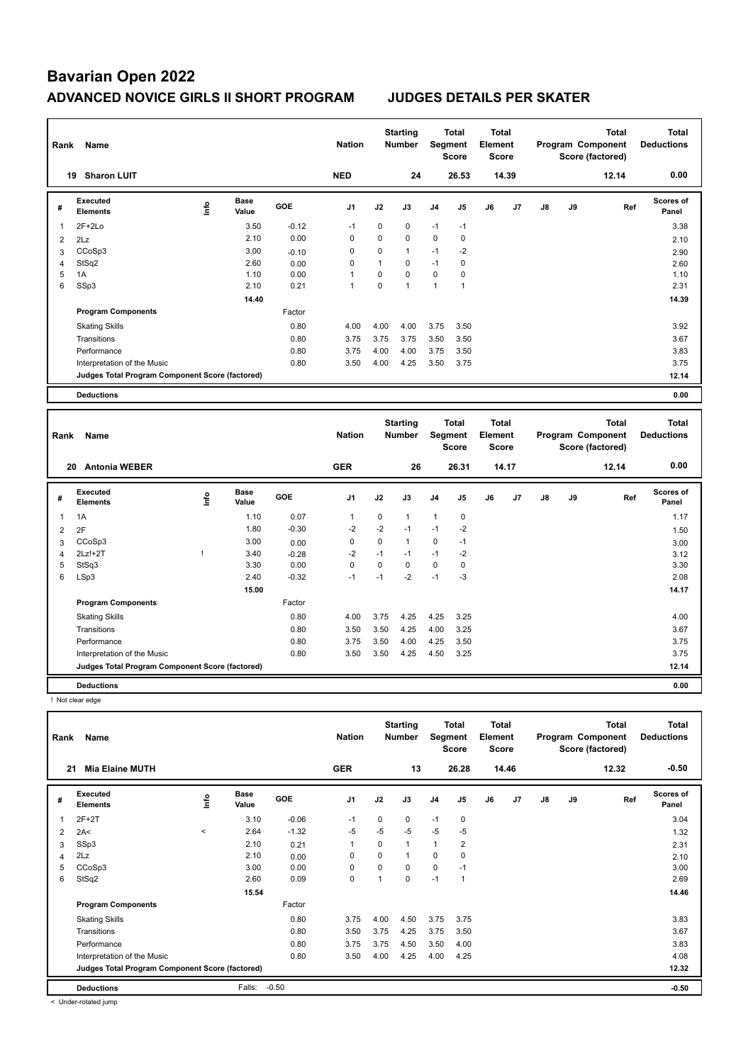| Rank | Name<br>19                                      |      |                      |         |                |             | <b>Starting</b><br><b>Number</b> |                | Total<br>Segment<br><b>Score</b> | Total<br>Element<br><b>Score</b> |       |    |    | <b>Total</b><br>Program Component<br>Score (factored) | <b>Total</b><br><b>Deductions</b> |
|------|-------------------------------------------------|------|----------------------|---------|----------------|-------------|----------------------------------|----------------|----------------------------------|----------------------------------|-------|----|----|-------------------------------------------------------|-----------------------------------|
|      | <b>Sharon LUIT</b>                              |      |                      |         | <b>NED</b>     |             | 24                               |                | 26.53                            |                                  | 14.39 |    |    | 12.14                                                 | 0.00                              |
| #    | <b>Executed</b><br><b>Elements</b>              | ١nfo | <b>Base</b><br>Value | GOE     | J <sub>1</sub> | J2          | J3                               | J <sub>4</sub> | J5                               | J6                               | J7    | J8 | J9 | Ref                                                   | <b>Scores of</b><br>Panel         |
| 1    | $2F+2Lo$                                        |      | 3.50                 | $-0.12$ | $-1$           | $\mathbf 0$ | $\mathbf 0$                      | $-1$           | $-1$                             |                                  |       |    |    |                                                       | 3.38                              |
| 2    | 2Lz                                             |      | 2.10                 | 0.00    | 0              | $\Omega$    | $\mathbf 0$                      | $\mathbf 0$    | 0                                |                                  |       |    |    |                                                       | 2.10                              |
| 3    | CCoSp3                                          |      | 3.00                 | $-0.10$ | 0              | 0           | $\mathbf{1}$                     | $-1$           | $-2$                             |                                  |       |    |    |                                                       | 2.90                              |
| 4    | StSq2                                           |      | 2.60                 | 0.00    | 0              | 1           | $\Omega$                         | $-1$           | 0                                |                                  |       |    |    |                                                       | 2.60                              |
| 5    | 1A                                              |      | 1.10                 | 0.00    | 1              | $\Omega$    | $\mathbf 0$                      | 0              | $\mathbf 0$                      |                                  |       |    |    |                                                       | 1.10                              |
| 6    | SSp3                                            |      | 2.10                 | 0.21    | 1              | 0           | 1                                | 1              | $\overline{1}$                   |                                  |       |    |    |                                                       | 2.31                              |
|      |                                                 |      | 14.40                |         |                |             |                                  |                |                                  |                                  |       |    |    |                                                       | 14.39                             |
|      | <b>Program Components</b>                       |      |                      | Factor  |                |             |                                  |                |                                  |                                  |       |    |    |                                                       |                                   |
|      | <b>Skating Skills</b>                           |      |                      | 0.80    | 4.00           | 4.00        | 4.00                             | 3.75           | 3.50                             |                                  |       |    |    |                                                       | 3.92                              |
|      | Transitions                                     |      |                      | 0.80    | 3.75           | 3.75        | 3.75                             | 3.50           | 3.50                             |                                  |       |    |    |                                                       | 3.67                              |
|      | Performance                                     |      |                      | 0.80    | 3.75           | 4.00        | 4.00                             | 3.75           | 3.50                             |                                  |       |    |    |                                                       | 3.83                              |
|      | Interpretation of the Music                     |      |                      | 0.80    | 3.50           | 4.00        | 4.25                             | 3.50           | 3.75                             |                                  |       |    |    |                                                       | 3.75                              |
|      | Judges Total Program Component Score (factored) |      |                      |         |                |             |                                  |                |                                  |                                  |       |    |    |                                                       | 12.14                             |
|      | <b>Deductions</b>                               |      |                      |         |                |             |                                  |                |                                  |                                  |       |    |    |                                                       | 0.00                              |
|      |                                                 |      |                      |         |                |             |                                  |                |                                  |                                  |       |    |    |                                                       |                                   |

| Rank | Name<br>20                                      |      |                      |         |                |             | <b>Starting</b><br>Number |                | Total<br>Segment<br>Score | <b>Total</b><br>Element<br><b>Score</b> |       |    |    | <b>Total</b><br>Program Component<br>Score (factored) | <b>Total</b><br><b>Deductions</b> |
|------|-------------------------------------------------|------|----------------------|---------|----------------|-------------|---------------------------|----------------|---------------------------|-----------------------------------------|-------|----|----|-------------------------------------------------------|-----------------------------------|
|      | <b>Antonia WEBER</b>                            |      |                      |         | <b>GER</b>     |             | 26                        |                | 26.31                     |                                         | 14.17 |    |    | 12.14                                                 | 0.00                              |
| #    | Executed<br><b>Elements</b>                     | lnfo | <b>Base</b><br>Value | GOE     | J <sub>1</sub> | J2          | J3                        | J <sub>4</sub> | J <sub>5</sub>            | J6                                      | J7    | J8 | J9 | Ref                                                   | Scores of<br>Panel                |
| 1    | 1A                                              |      | 1.10                 | 0.07    | $\overline{1}$ | $\mathbf 0$ | $\mathbf{1}$              | 1              | $\mathbf 0$               |                                         |       |    |    |                                                       | 1.17                              |
| 2    | 2F                                              |      | 1.80                 | $-0.30$ | $-2$           | $-2$        | $-1$                      | $-1$           | $-2$                      |                                         |       |    |    |                                                       | 1.50                              |
| 3    | CCoSp3                                          |      | 3.00                 | 0.00    | 0              | 0           | 1                         | 0              | $-1$                      |                                         |       |    |    |                                                       | 3.00                              |
| 4    | $2Lz!+2T$                                       |      | 3.40                 | $-0.28$ | -2             | $-1$        | $-1$                      | $-1$           | $-2$                      |                                         |       |    |    |                                                       | 3.12                              |
| 5    | StSq3                                           |      | 3.30                 | 0.00    | 0              | 0           | 0                         | $\mathbf 0$    | 0                         |                                         |       |    |    |                                                       | 3.30                              |
| 6    | LSp3                                            |      | 2.40                 | $-0.32$ | $-1$           | $-1$        | $-2$                      | $-1$           | $-3$                      |                                         |       |    |    |                                                       | 2.08                              |
|      |                                                 |      | 15.00                |         |                |             |                           |                |                           |                                         |       |    |    |                                                       | 14.17                             |
|      | <b>Program Components</b>                       |      |                      | Factor  |                |             |                           |                |                           |                                         |       |    |    |                                                       |                                   |
|      | <b>Skating Skills</b>                           |      |                      | 0.80    | 4.00           | 3.75        | 4.25                      | 4.25           | 3.25                      |                                         |       |    |    |                                                       | 4.00                              |
|      | Transitions                                     |      |                      | 0.80    | 3.50           | 3.50        | 4.25                      | 4.00           | 3.25                      |                                         |       |    |    |                                                       | 3.67                              |
|      | Performance                                     |      |                      | 0.80    | 3.75           | 3.50        | 4.00                      | 4.25           | 3.50                      |                                         |       |    |    |                                                       | 3.75                              |
|      | Interpretation of the Music                     |      |                      | 0.80    | 3.50           | 3.50        | 4.25                      | 4.50           | 3.25                      |                                         |       |    |    |                                                       | 3.75                              |
|      | Judges Total Program Component Score (factored) |      |                      |         |                |             |                           |                |                           |                                         |       |    |    |                                                       | 12.14                             |
|      | <b>Deductions</b>                               |      |                      |         |                |             |                           |                |                           |                                         |       |    |    |                                                       | 0.00                              |

! Not clear edge

| Rank | Name                                            |         | <b>Nation</b>        |         | <b>Starting</b><br><b>Number</b> | Segment     | <b>Total</b><br><b>Score</b> | <b>Total</b><br>Element<br><b>Score</b> |                |    |                | <b>Total</b><br>Program Component<br>Score (factored) | <b>Total</b><br><b>Deductions</b> |       |                           |
|------|-------------------------------------------------|---------|----------------------|---------|----------------------------------|-------------|------------------------------|-----------------------------------------|----------------|----|----------------|-------------------------------------------------------|-----------------------------------|-------|---------------------------|
| 21   | <b>Mia Elaine MUTH</b>                          |         |                      |         | <b>GER</b>                       |             | 13                           |                                         | 26.28          |    | 14.46          |                                                       |                                   | 12.32 | $-0.50$                   |
| #    | Executed<br><b>Elements</b>                     | ١nf٥    | <b>Base</b><br>Value | GOE     | J <sub>1</sub>                   | J2          | J3                           | J <sub>4</sub>                          | J <sub>5</sub> | J6 | J <sub>7</sub> | J8                                                    | J9                                | Ref   | <b>Scores of</b><br>Panel |
| 1    | $2F+2T$                                         |         | 3.10                 | $-0.06$ | $-1$                             | 0           | 0                            | $-1$                                    | 0              |    |                |                                                       |                                   |       | 3.04                      |
| 2    | 2A<                                             | $\prec$ | 2.64                 | $-1.32$ | $-5$                             | $-5$        | $-5$                         | $-5$                                    | -5             |    |                |                                                       |                                   |       | 1.32                      |
| 3    | SSp3                                            |         | 2.10                 | 0.21    | 1                                | $\Omega$    | $\mathbf{1}$                 | 1                                       | $\overline{2}$ |    |                |                                                       |                                   |       | 2.31                      |
| 4    | 2Lz                                             |         | 2.10                 | 0.00    | 0                                | $\mathbf 0$ | $\mathbf 1$                  | $\mathbf 0$                             | $\mathbf 0$    |    |                |                                                       |                                   |       | 2.10                      |
| 5    | CCoSp3                                          |         | 3.00                 | 0.00    | 0                                | 0           | $\Omega$                     | 0                                       | $-1$           |    |                |                                                       |                                   |       | 3.00                      |
| 6    | StSq2                                           |         | 2.60                 | 0.09    | $\mathbf 0$                      |             | $\Omega$                     | $-1$                                    | $\overline{1}$ |    |                |                                                       |                                   |       | 2.69                      |
|      |                                                 |         | 15.54                |         |                                  |             |                              |                                         |                |    |                |                                                       |                                   |       | 14.46                     |
|      | <b>Program Components</b>                       |         |                      | Factor  |                                  |             |                              |                                         |                |    |                |                                                       |                                   |       |                           |
|      | <b>Skating Skills</b>                           |         |                      | 0.80    | 3.75                             | 4.00        | 4.50                         | 3.75                                    | 3.75           |    |                |                                                       |                                   |       | 3.83                      |
|      | Transitions                                     |         |                      | 0.80    | 3.50                             | 3.75        | 4.25                         | 3.75                                    | 3.50           |    |                |                                                       |                                   |       | 3.67                      |
|      | Performance                                     |         |                      | 0.80    | 3.75                             | 3.75        | 4.50                         | 3.50                                    | 4.00           |    |                |                                                       |                                   |       | 3.83                      |
|      | Interpretation of the Music                     |         |                      | 0.80    | 3.50                             | 4.00        | 4.25                         | 4.00                                    | 4.25           |    |                |                                                       |                                   |       | 4.08                      |
|      | Judges Total Program Component Score (factored) |         |                      |         |                                  |             |                              |                                         |                |    |                |                                                       |                                   |       | 12.32                     |
|      | <b>Deductions</b>                               |         | Falls:               | $-0.50$ |                                  |             |                              |                                         |                |    |                |                                                       |                                   |       | $-0.50$                   |

< Under-rotated jump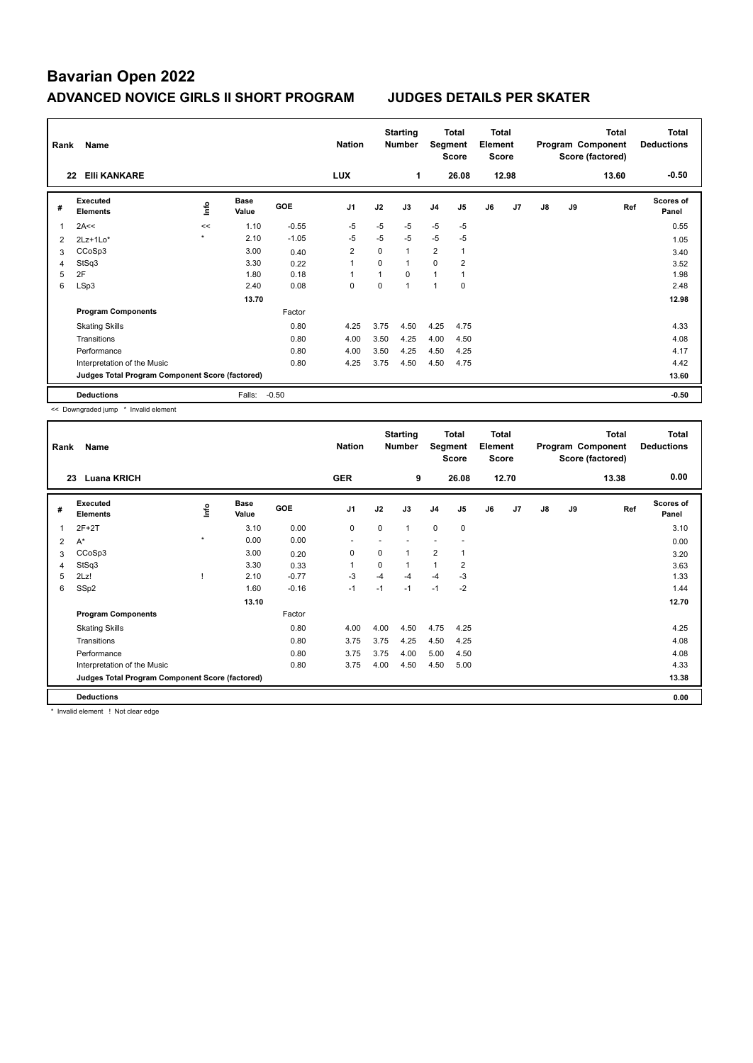| Rank | Name                                            |         |                      |            | <b>Nation</b>  |             | <b>Starting</b><br><b>Number</b> | Segment        | Total<br><b>Score</b> | <b>Total</b><br>Element<br><b>Score</b> |                |    |    | <b>Total</b><br>Program Component<br>Score (factored) | <b>Total</b><br><b>Deductions</b> |
|------|-------------------------------------------------|---------|----------------------|------------|----------------|-------------|----------------------------------|----------------|-----------------------|-----------------------------------------|----------------|----|----|-------------------------------------------------------|-----------------------------------|
|      | <b>EIII KANKARE</b><br>22                       |         |                      |            | <b>LUX</b>     |             | 1                                |                | 26.08                 |                                         | 12.98          |    |    | 13.60                                                 | $-0.50$                           |
| #    | Executed<br><b>Elements</b>                     | ١nfo    | <b>Base</b><br>Value | <b>GOE</b> | J <sub>1</sub> | J2          | J3                               | J <sub>4</sub> | J <sub>5</sub>        | J6                                      | J <sub>7</sub> | J8 | J9 | Ref                                                   | <b>Scores of</b><br>Panel         |
| 1    | 2A<<                                            | <<      | 1.10                 | $-0.55$    | $-5$           | $-5$        | $-5$                             | $-5$           | $-5$                  |                                         |                |    |    |                                                       | 0.55                              |
| 2    | $2Lz+1Lo*$                                      | $\star$ | 2.10                 | $-1.05$    | -5             | $-5$        | $-5$                             | $-5$           | $-5$                  |                                         |                |    |    |                                                       | 1.05                              |
| 3    | CCoSp3                                          |         | 3.00                 | 0.40       | $\overline{2}$ | $\mathbf 0$ | $\mathbf{1}$                     | $\overline{2}$ | $\mathbf{1}$          |                                         |                |    |    |                                                       | 3.40                              |
| 4    | StSq3                                           |         | 3.30                 | 0.22       | $\overline{1}$ | $\Omega$    | $\mathbf{1}$                     | 0              | 2                     |                                         |                |    |    |                                                       | 3.52                              |
| 5    | 2F                                              |         | 1.80                 | 0.18       | 1              |             | $\Omega$                         | $\mathbf{1}$   | 1                     |                                         |                |    |    |                                                       | 1.98                              |
| 6    | LSp3                                            |         | 2.40                 | 0.08       | 0              | 0           | $\mathbf 1$                      | 1              | $\mathbf 0$           |                                         |                |    |    |                                                       | 2.48                              |
|      |                                                 |         | 13.70                |            |                |             |                                  |                |                       |                                         |                |    |    |                                                       | 12.98                             |
|      | <b>Program Components</b>                       |         |                      | Factor     |                |             |                                  |                |                       |                                         |                |    |    |                                                       |                                   |
|      | <b>Skating Skills</b>                           |         |                      | 0.80       | 4.25           | 3.75        | 4.50                             | 4.25           | 4.75                  |                                         |                |    |    |                                                       | 4.33                              |
|      | Transitions                                     |         |                      | 0.80       | 4.00           | 3.50        | 4.25                             | 4.00           | 4.50                  |                                         |                |    |    |                                                       | 4.08                              |
|      | Performance                                     |         |                      | 0.80       | 4.00           | 3.50        | 4.25                             | 4.50           | 4.25                  |                                         |                |    |    |                                                       | 4.17                              |
|      | Interpretation of the Music                     |         |                      | 0.80       | 4.25           | 3.75        | 4.50                             | 4.50           | 4.75                  |                                         |                |    |    |                                                       | 4.42                              |
|      | Judges Total Program Component Score (factored) |         |                      |            |                |             |                                  |                |                       |                                         |                |    |    |                                                       | 13.60                             |
|      | <b>Deductions</b>                               |         | Falls:               | $-0.50$    |                |             |                                  |                |                       |                                         |                |    |    |                                                       | $-0.50$                           |

<< Downgraded jump \* Invalid element

| Rank           | Name                                            |         | <b>Nation</b>        |         | <b>Starting</b><br><b>Number</b> | Segment     | Total<br><b>Score</b> | Total<br>Element<br><b>Score</b> |                |    |       | <b>Total</b><br>Program Component<br>Score (factored) | Total<br><b>Deductions</b> |       |                           |
|----------------|-------------------------------------------------|---------|----------------------|---------|----------------------------------|-------------|-----------------------|----------------------------------|----------------|----|-------|-------------------------------------------------------|----------------------------|-------|---------------------------|
|                | <b>Luana KRICH</b><br>23                        |         |                      |         | <b>GER</b>                       |             | 9                     |                                  | 26.08          |    | 12.70 |                                                       |                            | 13.38 | 0.00                      |
| #              | Executed<br><b>Elements</b>                     | ۴ů      | <b>Base</b><br>Value | GOE     | J <sub>1</sub>                   | J2          | J3                    | J <sub>4</sub>                   | J <sub>5</sub> | J6 | J7    | J8                                                    | J9                         | Ref   | <b>Scores of</b><br>Panel |
| 1              | $2F+2T$                                         |         | 3.10                 | 0.00    | $\mathbf 0$                      | $\mathbf 0$ | $\mathbf{1}$          | $\mathbf 0$                      | $\mathbf 0$    |    |       |                                                       |                            |       | 3.10                      |
| 2              | $A^*$                                           | $\star$ | 0.00                 | 0.00    |                                  |             |                       |                                  |                |    |       |                                                       |                            |       | 0.00                      |
| 3              | CCoSp3                                          |         | 3.00                 | 0.20    | 0                                | 0           | $\overline{1}$        | $\overline{2}$                   | $\overline{1}$ |    |       |                                                       |                            |       | 3.20                      |
| $\overline{4}$ | StSq3                                           |         | 3.30                 | 0.33    | $\overline{1}$                   | 0           | $\mathbf{1}$          | $\mathbf{1}$                     | 2              |    |       |                                                       |                            |       | 3.63                      |
| 5              | 2Lz!                                            |         | 2.10                 | $-0.77$ | -3                               | $-4$        | $-4$                  | $-4$                             | -3             |    |       |                                                       |                            |       | 1.33                      |
| 6              | SSp2                                            |         | 1.60                 | $-0.16$ | $-1$                             | $-1$        | $-1$                  | $-1$                             | $-2$           |    |       |                                                       |                            |       | 1.44                      |
|                |                                                 |         | 13.10                |         |                                  |             |                       |                                  |                |    |       |                                                       |                            |       | 12.70                     |
|                | <b>Program Components</b>                       |         |                      | Factor  |                                  |             |                       |                                  |                |    |       |                                                       |                            |       |                           |
|                | <b>Skating Skills</b>                           |         |                      | 0.80    | 4.00                             | 4.00        | 4.50                  | 4.75                             | 4.25           |    |       |                                                       |                            |       | 4.25                      |
|                | Transitions                                     |         |                      | 0.80    | 3.75                             | 3.75        | 4.25                  | 4.50                             | 4.25           |    |       |                                                       |                            |       | 4.08                      |
|                | Performance                                     |         |                      | 0.80    | 3.75                             | 3.75        | 4.00                  | 5.00                             | 4.50           |    |       |                                                       |                            |       | 4.08                      |
|                | Interpretation of the Music                     |         |                      | 0.80    | 3.75                             | 4.00        | 4.50                  | 4.50                             | 5.00           |    |       |                                                       |                            |       | 4.33                      |
|                | Judges Total Program Component Score (factored) |         |                      |         |                                  |             |                       |                                  |                |    |       |                                                       |                            |       | 13.38                     |
|                | <b>Deductions</b>                               |         |                      |         |                                  |             |                       |                                  |                |    |       |                                                       |                            |       | 0.00                      |

\* Invalid element ! Not clear edge